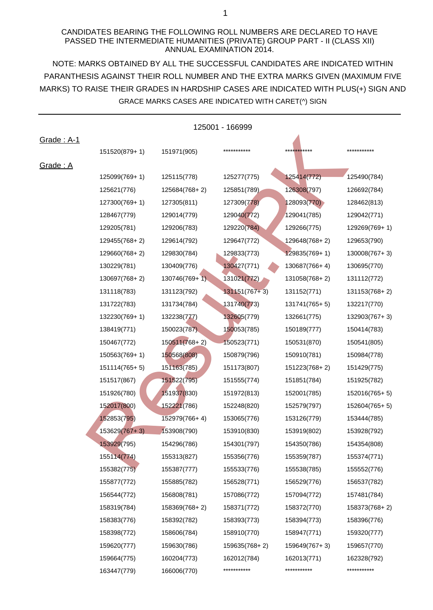## CANDIDATES BEARING THE FOLLOWING ROLL NUMBERS ARE DECLARED TO HAVE PASSED THE INTERMEDIATE HUMANITIES (PRIVATE) GROUP PART - II (CLASS XII) ANNUAL EXAMINATION 2014.

NOTE: MARKS OBTAINED BY ALL THE SUCCESSFUL CANDIDATES ARE INDICATED WITHIN MARKS) TO RAISE THEIR GRADES IN HARDSHIP CASES ARE INDICATED WITH PLUS(+) SIGN AND PARANTHESIS AGAINST THEIR ROLL NUMBER AND THE EXTRA MARKS GIVEN (MAXIMUM FIVE GRACE MARKS CASES ARE INDICATED WITH CARET(^) SIGN

| 125001 - 166999          |               |               |                 |                          |               |
|--------------------------|---------------|---------------|-----------------|--------------------------|---------------|
| <u><b>Grade: A-1</b></u> |               |               |                 |                          |               |
|                          | 151520(879+1) | 151971(905)   | ***********     | **** <del>**</del> ***** | ***********   |
| Grade: A                 |               |               |                 |                          |               |
|                          | 125099(769+1) | 125115(778)   | 125277(775)     | 125414(772)              | 125490(784)   |
|                          | 125621(776)   | 125684(768+2) | 125851(789)     | 126308(797)              | 126692(784)   |
|                          | 127300(769+1) | 127305(811)   | 127309(778)     | 128093(770)              | 128462(813)   |
|                          | 128467(779)   | 129014(779)   | 129040(772)     | 129041(785)              | 129042(771)   |
|                          | 129205(781)   | 129206(783)   | 129220(784)     | 129266(775)              | 129269(769+1) |
|                          | 129455(768+2) | 129614(792)   | 129647(772)     | 129648(768+2)            | 129653(790)   |
|                          | 129660(768+2) | 129830(784)   | 129833(773)     | 129835(769+1)            | 130008(767+3) |
|                          | 130229(781)   | 130409(776)   | 130427(771)     | 130687(766+4)            | 130695(770)   |
|                          | 130697(768+2) | 130746(769+1) | 131021(772)     | 131058(768+2)            | 131112(772)   |
|                          | 131118(783)   | 131123(792)   | $131151(767+3)$ | 131152(771)              | 131153(768+2) |
|                          | 131722(783)   | 131734(784)   | 131740(773)     | 131741(765+5)            | 132217(770)   |
|                          | 132230(769+1) | 132238(777)   | 132605(779)     | 132661(775)              | 132903(767+3) |
|                          | 138419(771)   | 150023(787)   | 150053(785)     | 150189(777)              | 150414(783)   |
|                          | 150467(772)   | 150511(768+2) | 150523(771)     | 150531(870)              | 150541(805)   |
|                          | 150563(769+1) | 150568(808)   | 150879(796)     | 150910(781)              | 150984(778)   |
|                          | 151114(765+5) | 151163(785)   | 151173(807)     | 151223(768+2)            | 151429(775)   |
|                          | 151517(867)   | 151522(795)   | 151555(774)     | 151851(784)              | 151925(782)   |
|                          | 151926(780)   | 151937(830)   | 151972(813)     | 152001(785)              | 152016(765+5) |
|                          | 152017(800)   | 152221(786)   | 152248(820)     | 152579(797)              | 152604(765+5) |
|                          | 152853(795)   | 152979(766+4) | 153065(776)     | 153126(779)              | 153444(785)   |
|                          | 153629(767+3) | 153908(790)   | 153910(830)     | 153919(802)              | 153928(792)   |
|                          | 153929(795)   | 154296(786)   | 154301(797)     | 154350(786)              | 154354(808)   |
|                          | 155114(774)   | 155313(827)   | 155356(776)     | 155359(787)              | 155374(771)   |
|                          | 155382(775)   | 155387(777)   | 155533(776)     | 155538(785)              | 155552(776)   |
|                          | 155877(772)   | 155885(782)   | 156528(771)     | 156529(776)              | 156537(782)   |
|                          | 156544(772)   | 156808(781)   | 157086(772)     | 157094(772)              | 157481(784)   |
|                          | 158319(784)   | 158369(768+2) | 158371(772)     | 158372(770)              | 158373(768+2) |
|                          | 158383(776)   | 158392(782)   | 158393(773)     | 158394(773)              | 158396(776)   |
|                          | 158398(772)   | 158606(784)   | 158910(770)     | 158947(771)              | 159320(777)   |
|                          | 159620(777)   | 159630(786)   | 159635(768+2)   | 159649(767+3)            | 159657(770)   |
|                          | 159664(775)   | 160204(773)   | 162012(784)     | 162013(771)              | 162328(792)   |
|                          | 163447(779)   | 166006(770)   | ***********     | ***********              | ***********   |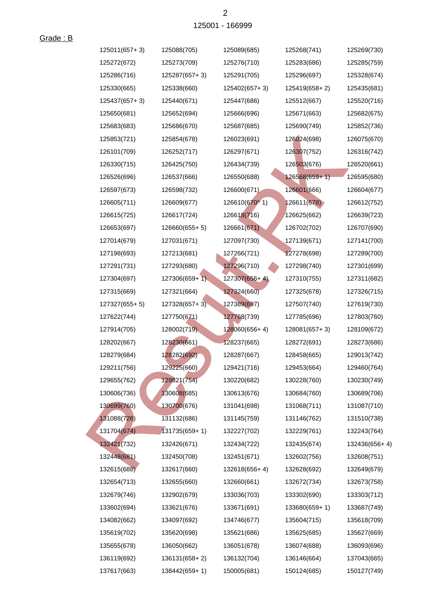| 125011(657+3) | 125088(705)     | 125089(685)   | 125268(741)     | 125269(730)   |
|---------------|-----------------|---------------|-----------------|---------------|
| 125272(672)   | 125273(709)     | 125276(710)   | 125283(686)     | 125285(759)   |
| 125286(716)   | 125287(657+3)   | 125291(705)   | 125296(697)     | 125328(674)   |
| 125330(665)   | 125338(660)     | 125402(657+3) | 125419(658+2)   | 125435(681)   |
| 125437(657+3) | 125440(671)     | 125447(686)   | 125512(667)     | 125520(716)   |
| 125650(681)   | 125652(694)     | 125666(696)   | 125671(663)     | 125682(675)   |
| 125683(683)   | 125686(670)     | 125687(685)   | 125690(749)     | 125852(736)   |
| 125853(721)   | 125854(678)     | 126023(691)   | 126024(698)     | 126075(670)   |
| 126101(709)   | 126252(717)     | 126297(671)   | 126307(752)     | 126316(742)   |
| 126330(715)   | 126425(750)     | 126434(739)   | 126503(676)     | 126520(661)   |
| 126526(696)   | 126537(666)     | 126550(688)   | $126568(659+1)$ | 126595(680)   |
| 126597(673)   | 126598(732)     | 126600(671)   | 126601(666)     | 126604(677)   |
| 126605(711)   | 126609(677)     | 126610(670^1) | 126611(678)     | 126612(752)   |
| 126615(725)   | 126617(724)     | 126618(716)   | 126625(662)     | 126639(723)   |
| 126653(697)   | $126660(655+5)$ | 126661(671)   | 126702(702)     | 126707(690)   |
| 127014(679)   | 127031(671)     | 127097(730)   | 127139(671)     | 127141(700)   |
| 127198(693)   | 127213(681)     | 127266(721)   | 127278(698)     | 127289(700)   |
| 127291(731)   | 127293(680)     | 127296(710)   | 127298(740)     | 127301(699)   |
| 127304(697)   | 127306(659+1)   | 127307(656+4) | 127310(755)     | 127311(682)   |
| 127315(669)   | 127321(664)     | 127324(660)   | 127325(678)     | 127326(715)   |
| 127327(655+5) | $127328(657+3)$ | 127389(697)   | 127507(740)     | 127619(730)   |
| 127622(744)   | 127750(671)     | 127768(739)   | 127785(696)     | 127803(760)   |
| 127914(705)   | 128002(719)     | 128060(656+4) | 128081(657+3)   | 128109(672)   |
| 128202(667)   | 128230(661)     | 128237(665)   | 128272(691)     | 128273(686)   |
| 128279(684)   | 128282(692)     | 128287(667)   | 128458(665)     | 129013(742)   |
| 129211(756)   | 129225(660)     | 129421(716)   | 129453(664)     | 129460(764)   |
| 129655(762)   | 129821(754)     | 130220(682)   | 130228(760)     | 130230(749)   |
| 130606(736)   | 130608(685)     | 130613(676)   | 130684(760)     | 130689(706)   |
| 130699(760)   | 130700(676)     | 131041(698)   | 131068(711)     | 131087(710)   |
| 131088(726)   | 131132(686)     | 131145(759)   | 131146(762)     | 131510(738)   |
| 131704(674)   | 131735(659+1)   | 132227(702)   | 132229(761)     | 132243(764)   |
| 132421(732)   | 132426(671)     | 132434(722)   | 132435(674)     | 132436(656+4) |
| 132448(681)   | 132450(708)     | 132451(671)   | 132602(756)     | 132608(751)   |
| 132615(688)   | 132617(660)     | 132618(656+4) | 132628(692)     | 132649(679)   |
| 132654(713)   | 132655(660)     | 132660(661)   | 132672(734)     | 132673(758)   |
| 132679(746)   | 132902(679)     | 133036(703)   | 133302(690)     | 133303(712)   |
| 133602(694)   | 133621(676)     | 133671(691)   | 133680(659+1)   | 133687(749)   |
| 134082(662)   | 134097(692)     | 134746(677)   | 135604(715)     | 135618(709)   |
| 135619(702)   | 135620(698)     | 135621(686)   | 135625(685)     | 135627(669)   |
| 135655(678)   | 136050(662)     | 136051(678)   | 136074(688)     | 136093(696)   |
| 136119(692)   | 136131(658+2)   | 136132(704)   | 136146(664)     | 137043(665)   |
| 137617(663)   | 138442(659+1)   | 150005(681)   | 150124(685)     | 150127(749)   |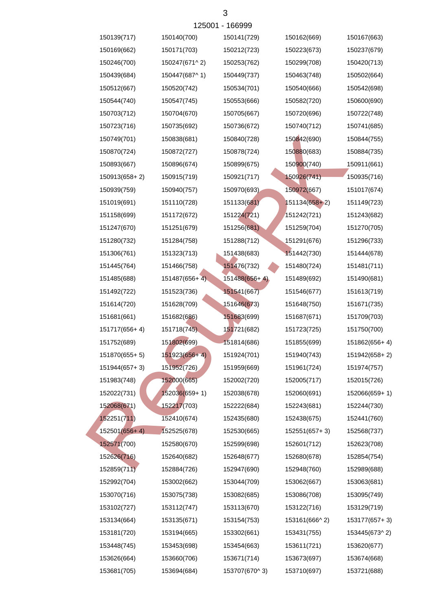| 150139(717)    | 150140(700)    | 150141(729)     | 150162(669)   | 150167(663)   |
|----------------|----------------|-----------------|---------------|---------------|
| 150169(662)    | 150171(703)    | 150212(723)     | 150223(673)   | 150237(679)   |
| 150246(700)    | 150247(671^2)  | 150253(762)     | 150299(708)   | 150420(713)   |
| 150439(684)    | 150447(687^1)  | 150449(737)     | 150463(748)   | 150502(664)   |
| 150512(667)    | 150520(742)    | 150534(701)     | 150540(666)   | 150542(698)   |
| 150544(740)    | 150547(745)    | 150553(666)     | 150582(720)   | 150600(690)   |
| 150703(712)    | 150704(670)    | 150705(667)     | 150720(696)   | 150722(748)   |
| 150723(716)    | 150735(692)    | 150736(672)     | 150740(712)   | 150741(685)   |
| 150749(701)    | 150838(681)    | 150840(728)     | 150842(690)   | 150844(755)   |
| 150870(724)    | 150872(727)    | 150878(724)     | 150880(683)   | 150884(735)   |
| 150893(667)    | 150896(674)    | 150899(675)     | 150900(740)   | 150911(661)   |
| 150913(658+2)  | 150915(719)    | 150921(717)     | 150926(741)   | 150935(716)   |
| 150939(759)    | 150940(757)    | 150970(693)     | 150972(667)   | 151017(674)   |
| 151019(691)    | 151110(728)    | 151133(681)     | 151134(658+2) | 151149(723)   |
| 151158(699)    | 151172(672)    | 151224(721)     | 151242(721)   | 151243(682)   |
| 151247(670)    | 151251(679)    | 151256(681)     | 151259(704)   | 151270(705)   |
| 151280(732)    | 151284(758)    | 151288(712)     | 151291(676)   | 151296(733)   |
| 151306(761)    | 151323(713)    | 151438(683)     | 151442(730)   | 151444(678)   |
| 151445(764)    | 151466(758)    | 151476(732)     | 151480(724)   | 151481(711)   |
| 151485(688)    | 151487(656+4). | $151488(656+4)$ | 151489(692)   | 151490(681)   |
| 151492(722)    | 151523(736)    | 151541(667)     | 151546(677)   | 151613(719)   |
| 151614(720)    | 151628(709)    | 151646(673)     | 151648(750)   | 151671(735)   |
| 151681(661)    | 151682(686)    | 151683(699)     | 151687(671)   | 151709(703)   |
| 151717(656+4)  | 151718(745).   | 151721(682)     | 151723(725)   | 151750(700)   |
| 151752(689)    | 151802(699)    | 151814(686)     | 151855(699)   | 151862(656+4) |
| 151870(655+5)  | 151923(656+4)  | 151924(701)     | 151940(743)   | 151942(658+2) |
| 151944(657+3)  | 151952(726)    | 151959(669)     | 151961(724)   | 151974(757)   |
| 151983(748)    | 152000(665)    | 152002(720)     | 152005(717)   | 152015(726)   |
| 152022(731)    | 152036(659+1)  | 152038(678)     | 152060(691)   | 152066(659+1) |
| 152068(671)    | 152217(703)    | 152222(684)     | 152243(681)   | 152244(730)   |
| 152251(711)    | 152410(674)    | 152435(680)     | 152438(675)   | 152441(760)   |
| 152501 (656+4) | 152525(678)    | 152530(665)     | 152551(657+3) | 152568(737)   |
| 152571(700)    | 152580(670)    | 152599(698)     | 152601(712)   | 152623(708)   |
| 152626(716)    | 152640(682)    | 152648(677)     | 152680(678)   | 152854(754)   |
| 152859(711)    | 152884(726)    | 152947(690)     | 152948(760)   | 152989(688)   |
| 152992(704)    | 153002(662)    | 153044(709)     | 153062(667)   | 153063(681)   |
| 153070(716)    | 153075(738)    | 153082(685)     | 153086(708)   | 153095(749)   |
| 153102(727)    | 153112(747)    | 153113(670)     | 153122(716)   | 153129(719)   |
| 153134(664)    | 153135(671)    | 153154(753)     | 153161(666^2) | 153177(657+3) |
| 153181(720)    | 153194(665)    | 153302(661)     | 153431(755)   | 153445(673^2) |
| 153448(745)    | 153453(698)    | 153454(663)     | 153611(721)   | 153620(677)   |
| 153626(664)    | 153660(706)    | 153671(714)     | 153673(697)   | 153674(668)   |
| 153681(705)    | 153694(684)    | 153707(670^3)   | 153710(697)   | 153721(688)   |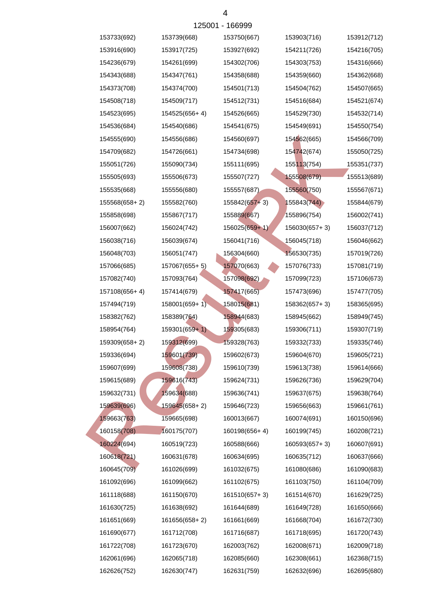|               |                 | <u> 173001 - 100999</u> |               |             |
|---------------|-----------------|-------------------------|---------------|-------------|
| 153733(692)   | 153739(668)     | 153750(667)             | 153903(716)   | 153912(712) |
| 153916(690)   | 153917(725)     | 153927(692)             | 154211(726)   | 154216(705) |
| 154236(679)   | 154261(699)     | 154302(706)             | 154303(753)   | 154316(666) |
| 154343(688)   | 154347(761)     | 154358(688)             | 154359(660)   | 154362(668) |
| 154373(708)   | 154374(700)     | 154501(713)             | 154504(762)   | 154507(665) |
| 154508(718)   | 154509(717)     | 154512(731)             | 154516(684)   | 154521(674) |
| 154523(695)   | 154525(656+4)   | 154526(665)             | 154529(730)   | 154532(714) |
| 154536(684)   | 154540(686)     | 154541(675)             | 154549(691)   | 154550(754) |
| 154555(690)   | 154556(686)     | 154560(697)             | 154562(665)   | 154566(709) |
| 154709(682)   | 154726(661)     | 154734(698)             | 154742(674)   | 155050(725) |
| 155051(726)   | 155090(734)     | 155111(695)             | 155113(754)   | 155351(737) |
| 155505(693)   | 155506(673)     | 155507(727)             | 155508(679)   | 155513(689) |
| 155535(668)   | 155556(680)     | 155557(687)             | 155560(750)   | 155567(671) |
| 155568(658+2) | 155582(760)     | $155842(657+3)$         | 155843(744)   | 155844(679) |
| 155858(698)   | 155867(717)     | 155889(667)             | 155896(754)   | 156002(741) |
| 156007(662)   | 156024(742)     | 156025(659+1)           | 156030(657+3) | 156037(712) |
| 156038(716)   | 156039(674)     | 156041(716)             | 156045(718)   | 156046(662) |
| 156048(703)   | 156051(747)     | 156304(660)             | 156530(735)   | 157019(726) |
| 157066(685)   | 157067(655+5)   | 157070(663)             | 157076(733)   | 157081(719) |
| 157082(740)   | 157093(764)     | 157098(692)             | 157099(723)   | 157106(673) |
| 157108(656+4) | 157414(679)     | 157417(665)             | 157473(696)   | 157477(705) |
| 157494(719)   | 158001(659+1)   | 158015(681)             | 158362(657+3) | 158365(695) |
| 158382(762)   | 158389(764)     | 158944(683)             | 158945(662)   | 158949(745) |
| 158954(764)   | $159301(659+1)$ | 159305(683)             | 159306(711)   | 159307(719) |
| 159309(658+2) | 159312(699)     | 159328(763)             | 159332(733)   | 159335(746) |
| 159336(694)   | 159601(739)     | 159602(673)             | 159604(670)   | 159605(721) |
| 159607(699)   | 159608(738)     | 159610(739)             | 159613(738)   | 159614(666) |
| 159615(689)   | 159616(743)     | 159624(731)             | 159626(736)   | 159629(704) |
| 159632(731)   | 159634(688)     | 159636(741)             | 159637(675)   | 159638(764) |
| 159639(696)   | 159645(658+2)   | 159646(723)             | 159656(663)   | 159661(761) |
| 159663(763)   | 159665(698)     | 160013(667)             | 160074(691)   | 160150(696) |
| 160158(708)   | 160175(707)     | 160198(656+4)           | 160199(745)   | 160208(721) |
| 160224(694)   | 160519(723)     | 160588(666)             | 160593(657+3) | 160607(691) |
| 160618(721)   | 160631(678)     | 160634(695)             | 160635(712)   | 160637(666) |
| 160645(709)   | 161026(699)     | 161032(675)             | 161080(686)   | 161090(683) |
| 161092(696)   | 161099(662)     | 161102(675)             | 161103(750)   | 161104(709) |
| 161118(688)   | 161150(670)     | 161510(657+3)           | 161514(670)   | 161629(725) |
| 161630(725)   | 161638(692)     | 161644(689)             | 161649(728)   | 161650(666) |
| 161651(669)   | 161656(658+2)   | 161661(669)             | 161668(704)   | 161672(730) |
| 161690(677)   | 161712(708)     | 161716(687)             | 161718(695)   | 161720(743) |
| 161722(708)   | 161723(670)     | 162003(762)             | 162008(671)   | 162009(718) |
| 162061(696)   | 162065(718)     | 162085(660)             | 162308(661)   | 162368(715) |
| 162626(752)   | 162630(747)     | 162631(759)             | 162632(696)   | 162695(680) |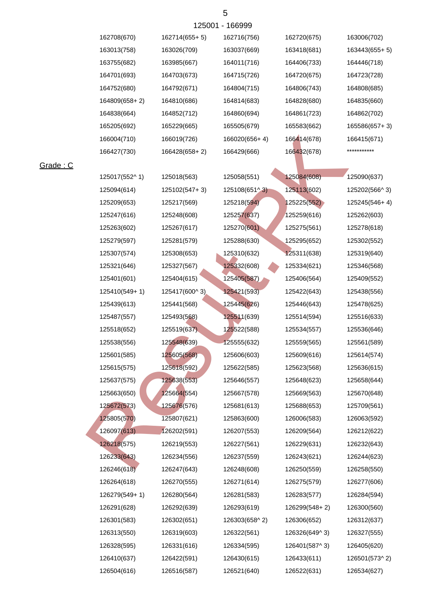| 163755(682)   | 163985(667)   | 164011(716)   | 164406(733)   | 164446(718)   |
|---------------|---------------|---------------|---------------|---------------|
| 164701(693)   | 164703(673)   | 164715(726)   | 164720(675)   | 164723(728)   |
| 164752(680)   | 164792(671)   | 164804(715)   | 164806(743)   | 164808(685)   |
| 164809(658+2) | 164810(686)   | 164814(683)   | 164828(680)   | 164835(660)   |
| 164838(664)   | 164852(712)   | 164860(694)   | 164861(723)   | 164862(702)   |
| 165205(692)   | 165229(665)   | 165505(679)   | 165583(662)   | 165586(657+3) |
| 166004(710)   | 166019(726)   | 166020(656+4) | 166414(678)   | 166415(671)   |
| 166427(730)   | 166428(658+2) | 166429(666)   | 166432(678)   | ***********   |
|               |               |               |               |               |
| 125017(552^1) | 125018(563)   | 125058(551)   | 125084(608)   | 125090(637)   |
| 125094(614)   | 125102(547+3) | 125108(651^3) | 125113(602)   | 125202(566^3) |
| 125209(653)   | 125217(569)   | 125218(594)   | 125225(552)   | 125245(546+4) |
| 125247(616)   | 125248(608)   | 125257(637)   | 125259(616)   | 125262(603)   |
| 125263(602)   | 125267(617)   | 125270(601)   | 125275(561)   | 125278(618)   |
| 125279(597)   | 125281(579)   | 125288(630)   | 125295(652)   | 125302(552)   |
| 125307(574)   | 125308(653)   | 125310(632)   | 125311(638)   | 125319(640)   |
| 125321(646)   | 125327(567)   | 125332(608)   | 125334(621)   | 125346(568)   |
| 125401(601)   | 125404(615)   | 125405(587)   | 125406(564)   | 125409(552)   |
| 125410(549+1) | 125417(600^3) | 125421(593)   | 125422(643)   | 125438(556)   |
| 125439(613)   | 125441(568)   | 125445(626)   | 125446(643)   | 125478(625)   |
| 125487(557)   | 125493(568)   | 125511(639)   | 125514(594)   | 125516(633)   |
| 125518(652)   | 125519(637).  | 125522(588)   | 125534(557)   | 125536(646)   |
| 125538(556)   | 125548(639)   | 125555(632)   | 125559(565)   | 125561(589)   |
| 125601(585)   | 125605(568)   | 125606(603)   | 125609(616)   | 125614(574)   |
| 125615(575)   | 125618(592)   | 125622(585)   | 125623(568)   | 125636(615)   |
| 125637(575)   | 125638(553)   | 125646(557)   | 125648(623)   | 125658(644)   |
| 125663(650)   | 125664(554)   | 125667(578)   | 125669(563)   | 125670(648)   |
| 125672(573)   | 125676(576)   | 125681(613)   | 125688(653)   | 125709(561)   |
| 125805(570)   | 125807(621)   | 125863(600)   | 126006(583)   | 126063(592)   |
| 126097(613)   | 126202(591)   | 126207(553)   | 126209(564)   | 126212(622)   |
| 126218(575)   | 126219(553)   | 126227(561)   | 126229(631)   | 126232(643)   |
| 126233(643)   | 126234(556)   | 126237(559)   | 126243(621)   | 126244(623)   |
| 126246(618)   | 126247(643)   | 126248(608)   | 126250(559)   | 126258(550)   |
| 126264(618)   | 126270(555)   | 126271(614)   | 126275(579)   | 126277(606)   |
| 126279(549+1) | 126280(564)   | 126281(583)   | 126283(577)   | 126284(594)   |
| 126291(628)   | 126292(639)   | 126293(619)   | 126299(548+2) | 126300(560)   |
| 126301(583)   | 126302(651)   | 126303(658^2) | 126306(652)   | 126312(637)   |
| 126313(550)   | 126319(603)   | 126322(561)   | 126326(649^3) | 126327(555)   |
| 126328(595)   | 126331(616)   | 126334(595)   | 126401(587^3) | 126405(620)   |
| 126410(637)   | 126422(591)   | 126430(615)   | 126433(611)   | 126501(573^2) |
| 126504(616)   | 126516(587)   | 126521(640)   | 126522(631)   | 126534(627)   |

## Grade : C

162708(670) 162714(655+ 5) 162716(756) 162720(675) 163006(702) 163013(758) 163026(709) 163037(669) 163418(681) 163443(655+ 5)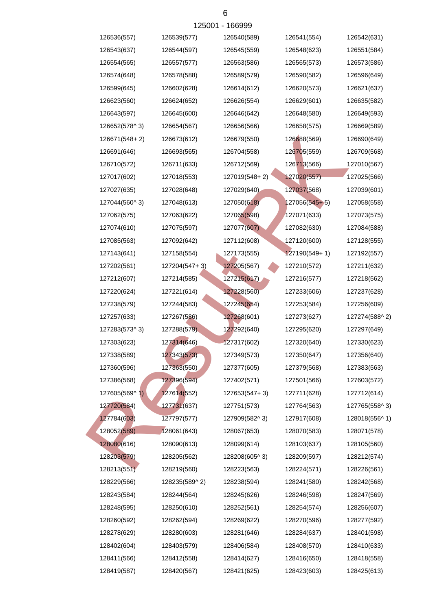|               |               | 12000 1 - 100999 |                 |               |
|---------------|---------------|------------------|-----------------|---------------|
| 126536(557)   | 126539(577)   | 126540(589)      | 126541(554)     | 126542(631)   |
| 126543(637)   | 126544(597)   | 126545(559)      | 126548(623)     | 126551(584)   |
| 126554(565)   | 126557(577)   | 126563(586)      | 126565(573)     | 126573(586)   |
| 126574(648)   | 126578(588)   | 126589(579)      | 126590(582)     | 126596(649)   |
| 126599(645)   | 126602(628)   | 126614(612)      | 126620(573)     | 126621(637)   |
| 126623(560)   | 126624(652)   | 126626(554)      | 126629(601)     | 126635(582)   |
| 126643(597)   | 126645(600)   | 126646(642)      | 126648(580)     | 126649(593)   |
| 126652(578^3) | 126654(567)   | 126656(566)      | 126658(575)     | 126669(589)   |
| 126671(548+2) | 126673(612)   | 126679(550)      | 126688(569)     | 126690(649)   |
| 126691(646)   | 126693(565)   | 126704(558)      | 126705(559)     | 126709(568)   |
| 126710(572)   | 126711(633)   | 126712(569)      | 126713(566)     | 127010(567)   |
| 127017(602)   | 127018(553)   | 127019(548+2)    | 127020(557)     | 127025(566)   |
| 127027(635)   | 127028(648)   | 127029(640)      | 127037(568)     | 127039(601)   |
| 127044(560^3) | 127048(613)   | 127050(618)      | 127056(545+5)   | 127058(558)   |
| 127062(575)   | 127063(622)   | 127065(598)      | 127071(633)     | 127073(575)   |
| 127074(610)   | 127075(597)   | 127077(607)      | 127082(630)     | 127084(588)   |
| 127085(563)   | 127092(642)   | 127112(608)      | 127120(600)     | 127128(555)   |
| 127143(641)   | 127158(554)   | 127173(555)      | $127190(549+1)$ | 127192(557)   |
| 127202(561)   | 127204(547+3) | 127205(567)      | 127210(572)     | 127211(632)   |
| 127212(607)   | 127214(585)   | 127215(617)      | 127216(577)     | 127218(562)   |
| 127220(624)   | 127221(614)   | 127228(560)      | 127233(606)     | 127237(628)   |
| 127238(579)   | 127244(583)   | 127245(654)      | 127253(584)     | 127256(609)   |
| 127257(633)   | 127267(586)   | 127268(601)      | 127273(627)     | 127274(588^2) |
| 127283(573^3) | 127288(579)   | 127292(640)      | 127295(620)     | 127297(649)   |
| 127303(623)   | 127314(646)   | 127317(602)      | 127320(640)     | 127330(623)   |
| 127338(589)   | 127343(573)   | 127349(573)      | 127350(647)     | 127356(640)   |
| 127360(596)   | 127363(550)   | 127377(605)      | 127379(568)     | 127383(563)   |
| 127386(568)   | 127396(594)   | 127402(571)      | 127501(566)     | 127603(572)   |
| 127605(569^1) | 127614(552)   | 127653(547+3)    | 127711(628)     | 127712(614)   |
| 127720(584)   | 127731(637)   | 127751(573)      | 127764(563)     | 127765(558^3) |
| 127784(603)   | 127797(577)   | 127909(582^3)    | 127917(608)     | 128018(556^1) |
| 128052(589)   | 128061(643)   | 128067(653)      | 128070(583)     | 128071(578)   |
| 128080(616)   | 128090(613)   | 128099(614)      | 128103(637)     | 128105(560)   |
| 128203(579)   | 128205(562)   | 128208(605^3)    | 128209(597)     | 128212(574)   |
| 128213(551)   | 128219(560)   | 128223(563)      | 128224(571)     | 128226(561)   |
| 128229(566)   | 128235(589^2) | 128238(594)      | 128241(580)     | 128242(568)   |
| 128243(584)   | 128244(564)   | 128245(626)      | 128246(598)     | 128247(569)   |
| 128248(595)   | 128250(610)   | 128252(561)      | 128254(574)     | 128256(607)   |
| 128260(592)   | 128262(594)   | 128269(622)      | 128270(596)     | 128277(592)   |
| 128278(629)   | 128280(603)   | 128281(646)      | 128284(637)     | 128401(598)   |
| 128402(604)   | 128403(579)   | 128406(584)      | 128408(570)     | 128410(633)   |
| 128411(566)   | 128412(558)   | 128414(627)      | 128416(650)     | 128418(558)   |
| 128419(587)   | 128420(567)   | 128421(625)      | 128423(603)     | 128425(613)   |
|               |               |                  |                 |               |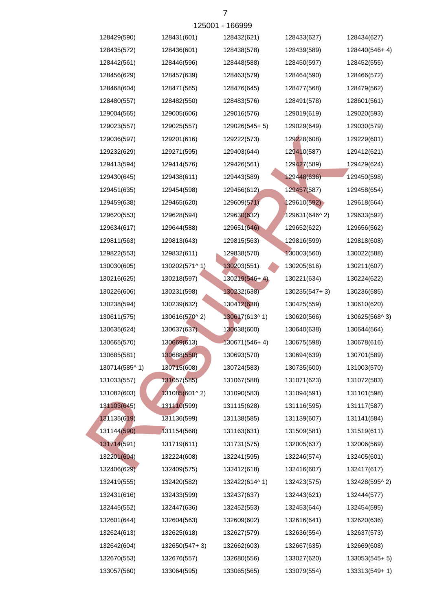| 128429(590)   | 128431(601)   | 128432(621)     | 128433(627)   | 128434(627)   |
|---------------|---------------|-----------------|---------------|---------------|
| 128435(572)   | 128436(601)   | 128438(578)     | 128439(589)   | 128440(546+4) |
| 128442(561)   | 128446(596)   | 128448(588)     | 128450(597)   | 128452(555)   |
| 128456(629)   | 128457(639)   | 128463(579)     | 128464(590)   | 128466(572)   |
| 128468(604)   | 128471(565)   | 128476(645)     | 128477(568)   | 128479(562)   |
| 128480(557)   | 128482(550)   | 128483(576)     | 128491(578)   | 128601(561)   |
| 129004(565)   | 129005(606)   | 129016(576)     | 129019(619)   | 129020(593)   |
| 129023(557)   | 129025(557)   | 129026(545+5)   | 129029(649)   | 129030(579)   |
| 129036(597)   | 129201(616)   | 129222(573)     | 129228(608)   | 129229(601)   |
| 129232(629)   | 129271(595)   | 129403(644)     | 129410(587)   | 129412(621)   |
| 129413(594)   | 129414(576)   | 129426(561)     | 129427(589)   | 129429(624)   |
| 129430(645)   | 129438(611)   | 129443(589)     | 129448(636)   | 129450(598)   |
| 129451(635)   | 129454(598)   | 129456(612)     | 129457(587)   | 129458(654)   |
| 129459(638)   | 129465(620)   | 129609(571)     | 129610(592)   | 129618(564)   |
| 129620(553)   | 129628(594)   | 129630(632)     | 129631(646^2) | 129633(592)   |
| 129634(617)   | 129644(588)   | 129651(646)     | 129652(622)   | 129656(562)   |
| 129811(563)   | 129813(643)   | 129815(563)     | 129816(599)   | 129818(608)   |
| 129822(553)   | 129832(611)   | 129838(570)     | 130003(560)   | 130022(588)   |
| 130030(605)   | 130202(571^1) | 130203(551)     | 130205(616)   | 130211(607)   |
| 130216(625)   | 130218(597)   | $130219(546+4)$ | 130221(634)   | 130224(622)   |
| 130226(606)   | 130231(598)   | 130232(638)     | 130235(547+3) | 130236(585)   |
| 130238(594)   | 130239(632)   | 130412(638)     | 130425(559)   | 130610(620)   |
| 130611(575)   | 130616(570^2) | 130617(613^1)   | 130620(566)   | 130625(568^3) |
| 130635(624)   | 130637(637)   | 130638(600)     | 130640(638)   | 130644(564)   |
| 130665(570)   | 130669(613)   | $130671(546+4)$ | 130675(598)   | 130678(616)   |
| 130685(581)   | 130688(550)   | 130693(570)     | 130694(639)   | 130701(589)   |
| 130714(585^1) | 130715(608)   | 130724(583)     | 130735(600)   | 131003(570)   |
| 131033(557)   | 131057(585)   | 131067(588)     | 131071(623)   | 131072(583)   |
| 131082(603)   | 131085(601^2) | 131090(583)     | 131094(591)   | 131101(598)   |
| 131103(645)   | 131110(599)   | 131115(628)     | 131116(595)   | 131117(587)   |
| 131135(619)   | 131136(599)   | 131138(585)     | 131139(607)   | 131141(584)   |
| 131144(590)   | 131154(568)   | 131163(631)     | 131509(581)   | 131519(611)   |
| 131714(591)   | 131719(611)   | 131731(575)     | 132005(637)   | 132006(569)   |
| 132201(604)   | 132224(608)   | 132241(595)     | 132246(574)   | 132405(601)   |
| 132406(629)   | 132409(575)   | 132412(618)     | 132416(607)   | 132417(617)   |
| 132419(555)   | 132420(582)   | 132422(614^1)   | 132423(575)   | 132428(595^2) |
| 132431(616)   | 132433(599)   | 132437(637)     | 132443(621)   | 132444(577)   |
| 132445(552)   | 132447(636)   | 132452(553)     | 132453(644)   | 132454(595)   |
| 132601(644)   | 132604(563)   | 132609(602)     | 132616(641)   | 132620(636)   |
| 132624(613)   | 132625(618)   | 132627(579)     | 132636(554)   | 132637(573)   |
| 132642(604)   | 132650(547+3) | 132662(603)     | 132667(635)   | 132669(608)   |
| 132670(553)   | 132676(557)   | 132680(556)     | 133027(620)   | 133053(545+5) |
| 133057(560)   | 133064(595)   | 133065(565)     | 133079(554)   | 133313(549+1) |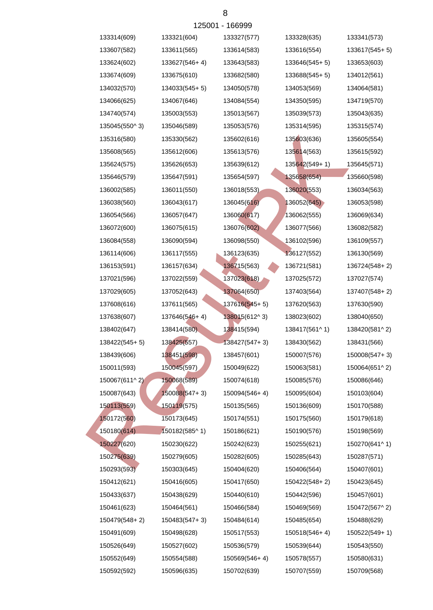| 133314(609)   | 133321(604)   | 133327(577)     | 133328(635)   | 133341(573)   |
|---------------|---------------|-----------------|---------------|---------------|
| 133607(582)   | 133611(565)   | 133614(583)     | 133616(554)   | 133617(545+5) |
| 133624(602)   | 133627(546+4) | 133643(583)     | 133646(545+5) | 133653(603)   |
| 133674(609)   | 133675(610)   | 133682(580)     | 133688(545+5) | 134012(561)   |
| 134032(570)   | 134033(545+5) | 134050(578)     | 134053(569)   | 134064(581)   |
| 134066(625)   | 134067(646)   | 134084(554)     | 134350(595)   | 134719(570)   |
| 134740(574)   | 135003(553)   | 135013(567)     | 135039(573)   | 135043(635)   |
| 135045(550^3) | 135046(589)   | 135053(576)     | 135314(595)   | 135315(574)   |
| 135316(580)   | 135330(562)   | 135602(616)     | 135603(636)   | 135605(554)   |
| 135608(565)   | 135612(606)   | 135613(576)     | 135614(563)   | 135615(592)   |
| 135624(575)   | 135626(653)   | 135639(612)     | 135642(549+1) | 135645(571)   |
| 135646(579)   | 135647(591)   | 135654(597)     | 135658(654)   | 135660(598)   |
| 136002(585)   | 136011(550)   | 136018(553)     | 136020(553)   | 136034(563)   |
| 136038(560)   | 136043(617)   | 136045(616)     | 136052(645)   | 136053(598)   |
| 136054(566)   | 136057(647)   | 136060(617)     | 136062(555)   | 136069(634)   |
| 136072(600)   | 136075(615)   | 136076(602)     | 136077(566)   | 136082(582)   |
| 136084(558)   | 136090(594)   | 136098(550)     | 136102(596)   | 136109(557)   |
| 136114(606)   | 136117(555)   | 136123(635)     | 136127(552)   | 136130(569)   |
| 136153(591)   | 136157(634)   | 136715(563)     | 136721(581)   | 136724(548+2) |
| 137021(596)   | 137022(559)   | 137023(618)     | 137025(572)   | 137027(574)   |
| 137029(605)   | 137052(643)   | 137064(650)     | 137403(564)   | 137407(548+2) |
| 137608(616)   | 137611(565)   | 137616(545+5)   | 137620(563)   | 137630(590)   |
| 137638(607)   | 137646(546+4) | 138015(612^3)   | 138023(602)   | 138040(650)   |
| 138402(647)   | 138414(580)   | 138415(594)     | 138417(561^1) | 138420(581^2) |
| 138422(545+5) | 138425(557)   | $138427(547+3)$ | 138430(562)   | 138431(566)   |
| 138439(606)   | 138451(598)   | 138457(601)     | 150007(576)   | 150008(547+3) |
| 150011(593)   | 150045(597)   | 150049(622)     | 150063(581)   | 150064(651^2) |
| 150067(611^2) | 150068(589)   | 150074(618)     | 150085(576)   | 150086(646)   |
| 150087(643)   | 150088(547+3) | 150094(546+4)   | 150095(604)   | 150103(604)   |
| 150113(559)   | 150119(575)   | 150135(565)     | 150136(609)   | 150170(588)   |
| 150172(560)   | 150173(645)   | 150174(551)     | 150175(560)   | 150179(618)   |
| 150180(614)   | 150182(585^1) | 150186(621)     | 150190(576)   | 150198(569)   |
| 150227(620)   | 150230(622)   | 150242(623)     | 150255(621)   | 150270(641^1) |
| 150275(639)   | 150279(605)   | 150282(605)     | 150285(643)   | 150287(571)   |
| 150293(593)   | 150303(645)   | 150404(620)     | 150406(564)   | 150407(601)   |
| 150412(621)   | 150416(605)   | 150417(650)     | 150422(548+2) | 150423(645)   |
| 150433(637)   | 150438(629)   | 150440(610)     | 150442(596)   | 150457(601)   |
| 150461(623)   | 150464(561)   | 150466(584)     | 150469(569)   | 150472(567^2) |
| 150479(548+2) | 150483(547+3) | 150484(614)     | 150485(654)   | 150488(629)   |
| 150491(609)   | 150498(628)   | 150517(553)     | 150518(546+4) | 150522(549+1) |
| 150526(649)   | 150527(602)   | 150536(579)     | 150539(644)   | 150543(550)   |
| 150552(649)   | 150554(588)   | 150569(546+4)   | 150578(557)   | 150580(631)   |
| 150592(592)   | 150596(635)   | 150702(639)     | 150707(559)   | 150709(568)   |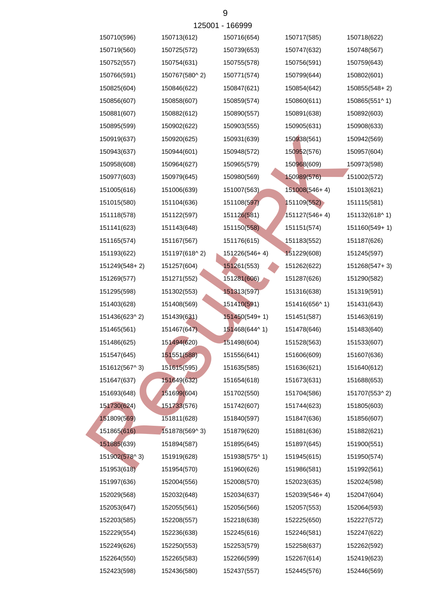|               |               | 120001 - 100999 |                 |               |
|---------------|---------------|-----------------|-----------------|---------------|
| 150710(596)   | 150713(612)   | 150716(654)     | 150717(585)     | 150718(622)   |
| 150719(560)   | 150725(572)   | 150739(653)     | 150747(632)     | 150748(567)   |
| 150752(557)   | 150754(631)   | 150755(578)     | 150756(591)     | 150759(643)   |
| 150766(591)   | 150767(580^2) | 150771(574)     | 150799(644)     | 150802(601)   |
| 150825(604)   | 150846(622)   | 150847(621)     | 150854(642)     | 150855(548+2) |
| 150856(607)   | 150858(607)   | 150859(574)     | 150860(611)     | 150865(551^1) |
| 150881(607)   | 150882(612)   | 150890(557)     | 150891(638)     | 150892(603)   |
| 150895(599)   | 150902(622)   | 150903(555)     | 150905(631)     | 150908(633)   |
| 150919(637)   | 150920(625)   | 150931(639)     | 150938(561)     | 150942(569)   |
| 150943(637)   | 150944(601)   | 150948(572)     | 150952(576)     | 150957(604)   |
| 150958(608)   | 150964(627)   | 150965(579)     | 150968(609)     | 150973(598)   |
| 150977(603)   | 150979(645)   | 150980(569)     | 150989(576)     | 151002(572)   |
| 151005(616)   | 151006(639)   | 151007(563)     | 151008(546+4)   | 151013(621)   |
| 151015(580)   | 151104(636)   | 151108(597)     | 151109(552)     | 151115(581)   |
| 151118(578)   | 151122(597)   | 151126(581)     | $151127(546+4)$ | 151132(618^1) |
| 151141(623)   | 151143(648)   | 151150(558)     | 151151(574)     | 151160(549+1) |
| 151165(574)   | 151167(567)   | 151176(615)     | 151183(552)     | 151187(626)   |
| 151193(622)   | 151197(618^2) | 151226(546+4)   | 151229(608)     | 151245(597)   |
| 151249(548+2) | 151257(604)   | 151261(553)     | 151262(622)     | 151268(547+3) |
| 151269(577)   | 151271(552)   | 151281(606)     | 151287(626)     | 151290(582)   |
| 151295(598)   | 151302(553)   | 151313(597)     | 151316(638)     | 151319(591)   |
| 151403(628)   | 151408(569)   | 151410(591)     | 151416(656^1)   | 151431(643)   |
| 151436(623^2) | 151439(631)   | 151450(549+1)   | 151451(587)     | 151463(619)   |
| 151465(561)   | 151467(647)   | 151468(644^1)   | 151478(646)     | 151483(640)   |
| 151486(625)   | 151494(620)   | 151498(604)     | 151528(563)     | 151533(607)   |
| 151547(645)   | 151551(588)   | 151556(641)     | 151606(609)     | 151607(636)   |
| 151612(567^3) | 151615(595)   | 151635(585)     | 151636(621)     | 151640(612)   |
| 151647(637)   | 151649(632)   | 151654(618)     | 151673(631)     | 151688(653)   |
| 151693(648)   | 151699(604)   | 151702(550)     | 151704(586)     | 151707(553^2) |
| 151730(624)   | 151733(576)   | 151742(607)     | 151744(623)     | 151805(603)   |
| 151809(569)   | 151811(628)   | 151840(597)     | 151847(636)     | 151856(607)   |
| 151865(616)   | 151878(569^3) | 151879(620)     | 151881(636)     | 151882(621)   |
| 151885(639)   | 151894(587)   | 151895(645)     | 151897(645)     | 151900(551)   |
| 151902(578^3) | 151919(628)   | 151938(575^1)   | 151945(615)     | 151950(574)   |
| 151953(618)   | 151954(570)   | 151960(626)     | 151986(581)     | 151992(561)   |
| 151997(636)   | 152004(556)   | 152008(570)     | 152023(635)     | 152024(598)   |
| 152029(568)   | 152032(648)   | 152034(637)     | 152039(546+4)   | 152047(604)   |
| 152053(647)   | 152055(561)   | 152056(566)     | 152057(553)     | 152064(593)   |
| 152203(585)   | 152208(557)   | 152218(638)     | 152225(650)     | 152227(572)   |
| 152229(554)   | 152236(638)   | 152245(616)     | 152246(581)     | 152247(622)   |
| 152249(626)   | 152250(553)   | 152253(579)     | 152258(637)     | 152262(592)   |
| 152264(550)   | 152265(583)   | 152266(599)     | 152267(614)     | 152419(623)   |
| 152423(598)   | 152436(580)   | 152437(557)     | 152445(576)     | 152446(569)   |
|               |               |                 |                 |               |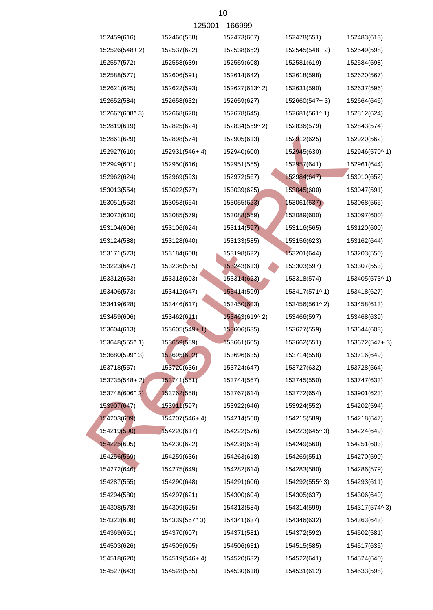|               |                 | 125001 - 166999 |               |               |
|---------------|-----------------|-----------------|---------------|---------------|
| 152459(616)   | 152466(588)     | 152473(607)     | 152478(551)   | 152483(613)   |
| 152526(548+2) | 152537(622)     | 152538(652)     | 152545(548+2) | 152549(598)   |
| 152557(572)   | 152558(639)     | 152559(608)     | 152581(619)   | 152584(598)   |
| 152588(577)   | 152606(591)     | 152614(642)     | 152618(598)   | 152620(567)   |
| 152621(625)   | 152622(593)     | 152627(613^2)   | 152631(590)   | 152637(596)   |
| 152652(584)   | 152658(632)     | 152659(627)     | 152660(547+3) | 152664(646)   |
| 152667(608^3) | 152668(620)     | 152678(645)     | 152681(561^1) | 152812(624)   |
| 152819(619)   | 152825(624)     | 152834(559^2)   | 152836(579)   | 152843(574)   |
| 152861(629)   | 152898(574)     | 152905(613)     | 152912(625)   | 152920(562)   |
| 152927(610)   | 152931(546+4)   | 152940(600)     | 152945(630)   | 152946(570^1) |
| 152949(601)   | 152950(616)     | 152951(555)     | 152957(641)   | 152961(644)   |
| 152962(624)   | 152969(593)     | 152972(567)     | 152984(647)   | 153010(652)   |
| 153013(554)   | 153022(577)     | 153039(625)     | 153045(600)   | 153047(591)   |
| 153051(553)   | 153053(654)     | 153055(623)     | 153061(637)   | 153068(565)   |
| 153072(610)   | 153085(579)     | 153088(569)     | 153089(600)   | 153097(600)   |
| 153104(606)   | 153106(624)     | 153114(597)     | 153116(565)   | 153120(600)   |
| 153124(588)   | 153128(640)     | 153133(585)     | 153156(623)   | 153162(644)   |
| 153171(573)   | 153184(608)     | 153198(622)     | 153201(644)   | 153203(550)   |
| 153223(647)   | 153236(585)     | 153243(613)     | 153303(597)   | 153307(553)   |
| 153312(653)   | 153313(603)     | 153314(623)     | 153318(574)   | 153405(573^1) |
| 153406(573)   | 153412(647)     | 153414(599)     | 153417(571^1) | 153418(627)   |
| 153419(628)   | 153446(617)     | 153450(603)     | 153456(561^2) | 153458(613)   |
| 153459(606)   | 153462(611)     | 153463(619^2)   | 153466(597)   | 153468(639)   |
| 153604(613)   | $153605(549+1)$ | 153606(635)     | 153627(559)   | 153644(603)   |
| 153648(555^1) | 153659(589)     | 153661(605)     | 153662(551)   | 153672(547+3) |
| 153680(599^3) | 153695(602)     | 153696(635)     | 153714(558)   | 153716(649)   |
| 153718(557)   | 153720(636)     | 153724(647)     | 153727(632)   | 153728(564)   |
| 153735(548+2) | 153741(551)     | 153744(567)     | 153745(550)   | 153747(633)   |
| 153748(606^2) | 153762(558)     | 153767(614)     | 153772(654)   | 153901(623)   |
| 153907(647)   | 153911(597)     | 153922(646)     | 153924(552)   | 154202(594)   |
| 154203(609)   | 154207(546+4)   | 154214(560)     | 154215(589)   | 154218(647)   |
| 154219(590)   | 154220(617)     | 154222(576)     | 154223(645^3) | 154224(649)   |
| 154225(605)   | 154230(622)     | 154238(654)     | 154249(560)   | 154251(603)   |
| 154256(569)   | 154259(636)     | 154263(618)     | 154269(551)   | 154270(590)   |
| 154272(646)   | 154275(649)     | 154282(614)     | 154283(580)   | 154286(579)   |
| 154287(555)   | 154290(648)     | 154291(606)     | 154292(555^3) | 154293(611)   |
| 154294(580)   | 154297(621)     | 154300(604)     | 154305(637)   | 154306(640)   |
| 154308(578)   | 154309(625)     | 154313(584)     | 154314(599)   | 154317(574^3) |
| 154322(608)   | 154339(567^3)   | 154341(637)     | 154346(632)   | 154363(643)   |
| 154369(651)   | 154370(607)     | 154371(581)     | 154372(592)   | 154502(581)   |
| 154503(626)   | 154505(605)     | 154506(631)     | 154515(585)   | 154517(635)   |
| 154518(620)   | 154519(546+4)   | 154520(632)     | 154522(641)   | 154524(640)   |
| 154527(643)   | 154528(555)     | 154530(618)     | 154531(612)   | 154533(598)   |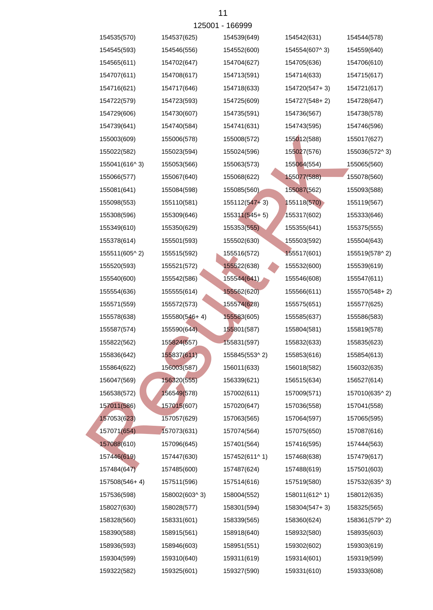|               |               | 120001 - 100999   |               |               |
|---------------|---------------|-------------------|---------------|---------------|
| 154535(570)   | 154537(625)   | 154539(649)       | 154542(631)   | 154544(578)   |
| 154545(593)   | 154546(556)   | 154552(600)       | 154554(607^3) | 154559(640)   |
| 154565(611)   | 154702(647)   | 154704(627)       | 154705(636)   | 154706(610)   |
| 154707(611)   | 154708(617)   | 154713(591)       | 154714(633)   | 154715(617)   |
| 154716(621)   | 154717(646)   | 154718(633)       | 154720(547+3) | 154721(617)   |
| 154722(579)   | 154723(593)   | 154725(609)       | 154727(548+2) | 154728(647)   |
| 154729(606)   | 154730(607)   | 154735(591)       | 154736(567)   | 154738(578)   |
| 154739(641)   | 154740(584)   | 154741(631)       | 154743(595)   | 154746(596)   |
| 155003(609)   | 155006(578)   | 155008(572)       | 155012(588)   | 155017(627)   |
| 155022(582)   | 155023(594)   | 155024(596)       | 155027(576)   | 155036(572^3) |
| 155041(616^3) | 155053(566)   | 155063(573)       | 155064(554)   | 155065(560)   |
| 155066(577)   | 155067(640)   | 155068(622)       | 155077(588)   | 155078(560)   |
| 155081(641)   | 155084(598)   | 155085(560)       | 155087(562)   | 155093(588)   |
| 155098(553)   | 155110(581)   | $155112(547 + 3)$ | 155118(570)   | 155119(567)   |
| 155308(596)   | 155309(646)   | $155311(545+5)$   | 155317(602)   | 155333(646)   |
| 155349(610)   | 155350(629)   | 155353(555)       | 155355(641)   | 155375(555)   |
| 155378(614)   | 155501(593)   | 155502(630)       | 155503(592)   | 155504(643)   |
| 155511(605^2) | 155515(592)   | 155516(572)       | 155517(601)   | 155519(578^2) |
| 155520(593)   | 155521(572)   | 155522(638)       | 155532(600)   | 155539(619)   |
| 155540(600)   | 155542(586)   | 155544(641)       | 155546(608)   | 155547(611)   |
| 155554(636)   | 155555(614)   | 155562(620)       | 155566(611)   | 155570(548+2) |
| 155571(559)   | 155572(573)   | 155574(628)       | 155575(651)   | 155577(625)   |
| 155578(638)   | 155580(546+4) | 155583(605)       | 155585(637)   | 155586(583)   |
| 155587(574)   | 155590(644)   | 155801(587)       | 155804(581)   | 155819(578)   |
| 155822(562)   | 155824(557)   | 155831(597)       | 155832(633)   | 155835(623)   |
| 155836(642)   | 155837(611)   | 155845(553^2)     | 155853(616)   | 155854(613)   |
| 155864(622)   | 156003(587)   | 156011(633)       | 156018(582)   | 156032(635)   |
| 156047(569)   | 156320(555)   | 156339(621)       | 156515(634)   | 156527(614)   |
| 156538(572)   | 156549(578)   | 157002(611)       | 157009(571)   | 157010(635^2) |
| 157011(586)   | 157015(607)   | 157020(647)       | 157036(558)   | 157041(558)   |
| 157053(623)   | 157057(629)   | 157063(565)       | 157064(597)   | 157065(595)   |
| 157071(654)   | 157073(631)   | 157074(564)       | 157075(650)   | 157087(616)   |
| 157088(610)   | 157096(645)   | 157401(564)       | 157416(595)   | 157444(563)   |
| 157446(619)   | 157447(630)   | 157452(611^1)     | 157468(638)   | 157479(617)   |
| 157484(647)   | 157485(600)   | 157487(624)       | 157488(619)   | 157501(603)   |
| 157508(546+4) | 157511(596)   | 157514(616)       | 157519(580)   | 157532(635^3) |
| 157536(598)   | 158002(603^3) | 158004(552)       | 158011(612^1) | 158012(635)   |
| 158027(630)   | 158028(577)   | 158301(594)       | 158304(547+3) | 158325(565)   |
| 158328(560)   | 158331(601)   | 158339(565)       | 158360(624)   | 158361(579^2) |
| 158390(588)   | 158915(561)   | 158918(640)       | 158932(580)   | 158935(603)   |
| 158936(593)   | 158946(603)   | 158951(551)       | 159302(602)   | 159303(619)   |
| 159304(599)   | 159310(640)   | 159311(619)       | 159314(601)   | 159319(599)   |
| 159322(582)   | 159325(601)   | 159327(590)       | 159331(610)   | 159333(608)   |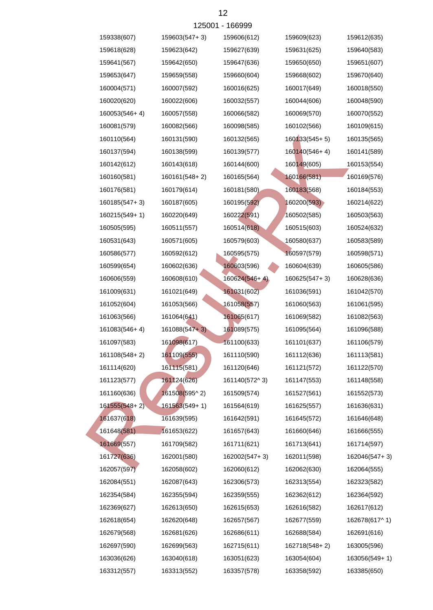|                 |                 | 125001 - 166999 |               |               |
|-----------------|-----------------|-----------------|---------------|---------------|
| 159338(607)     | 159603(547+3)   | 159606(612)     | 159609(623)   | 159612(635)   |
| 159618(628)     | 159623(642)     | 159627(639)     | 159631(625)   | 159640(583)   |
| 159641(567)     | 159642(650)     | 159647(636)     | 159650(650)   | 159651(607)   |
| 159653(647)     | 159659(558)     | 159660(604)     | 159668(602)   | 159670(640)   |
| 160004(571)     | 160007(592)     | 160016(625)     | 160017(649)   | 160018(550)   |
| 160020(620)     | 160022(606)     | 160032(557)     | 160044(606)   | 160048(590)   |
| 160053(546+4)   | 160057(558)     | 160066(582)     | 160069(570)   | 160070(552)   |
| 160081(579)     | 160082(566)     | 160098(585)     | 160102(566)   | 160109(615)   |
| 160110(564)     | 160131(590)     | 160132(565)     | 160133(545+5) | 160135(565)   |
| 160137(594)     | 160138(599)     | 160139(577)     | 160140(546+4) | 160141(589)   |
| 160142(612)     | 160143(618)     | 160144(600)     | 160149(605)   | 160153(554)   |
| 160160(581)     | 160161(548+2)   | 160165(564)     | 160166(581)   | 160169(576)   |
| 160176(581)     | 160179(614)     | 160181(580)     | 160183(568)   | 160184(553)   |
| 160185(547+3)   | 160187(605)     | 160195(592)     | 160200(593)   | 160214(622)   |
| 160215(549+1)   | 160220(649)     | 160222(591)     | 160502(585)   | 160503(563)   |
| 160505(595)     | 160511(557)     | 160514(618)     | 160515(603)   | 160524(632)   |
| 160531(643)     | 160571(605)     | 160579(603)     | 160580(637)   | 160583(589)   |
| 160586(577)     | 160592(612)     | 160595(575)     | 160597(579)   | 160598(571)   |
| 160599(654)     | 160602(636)     | 160603(596)     | 160604(639)   | 160605(586)   |
| 160606(559)     | 160608(610)     | $160624(546+4)$ | 160625(547+3) | 160628(636)   |
| 161009(631)     | 161021(649)     | 161031(602)     | 161036(591)   | 161042(570)   |
| 161052(604)     | 161053(566)     | 161058(557)     | 161060(563)   | 161061(595)   |
| 161063(566)     | 161064(641)     | 161065(617)     | 161069(582)   | 161082(563)   |
| 161083(546+4)   | $161088(547+3)$ | 161089(575)     | 161095(564)   | 161096(588)   |
| 161097(583)     | 161098(617)     | 161100(633)     | 161101(637)   | 161106(579)   |
| 161108(548+2)   | 161109(555)     | 161110(590)     | 161112(636)   | 161113(581)   |
| 161114(620)     | 161115(581)     | 161120(646)     | 161121(572)   | 161122(570)   |
| 161123(577)     | 161124(626)     | 161140(572^3)   | 161147(553)   | 161148(558)   |
| 161160(636)     | 161508(595^2)   | 161509(574)     | 161527(561)   | 161552(573)   |
| $161555(548+2)$ | 161563(549+1)   | 161564(619)     | 161625(557)   | 161636(631)   |
| 161637(618)     | 161639(595)     | 161642(591)     | 161645(572)   | 161646(648)   |
| 161648(581)     | 161653(622)     | 161657(643)     | 161660(646)   | 161666(555)   |
| 161669(557)     | 161709(582)     | 161711(621)     | 161713(641)   | 161714(597)   |
| 161727(636)     | 162001(580)     | 162002(547+3)   | 162011(598)   | 162046(547+3) |
| 162057(597)     | 162058(602)     | 162060(612)     | 162062(630)   | 162064(555)   |
| 162084(551)     | 162087(643)     | 162306(573)     | 162313(554)   | 162323(582)   |
| 162354(584)     | 162355(594)     | 162359(555)     | 162362(612)   | 162364(592)   |
| 162369(627)     | 162613(650)     | 162615(653)     | 162616(582)   | 162617(612)   |
| 162618(654)     | 162620(648)     | 162657(567)     | 162677(559)   | 162678(617^1) |
| 162679(568)     | 162681(626)     | 162686(611)     | 162688(584)   | 162691(616)   |
| 162697(590)     | 162699(563)     | 162715(611)     | 162718(548+2) | 163005(596)   |
| 163036(626)     | 163040(618)     | 163051(623)     | 163054(604)   | 163056(549+1) |
| 163312(557)     | 163313(552)     | 163357(578)     | 163358(592)   | 163385(650)   |
|                 |                 |                 |               |               |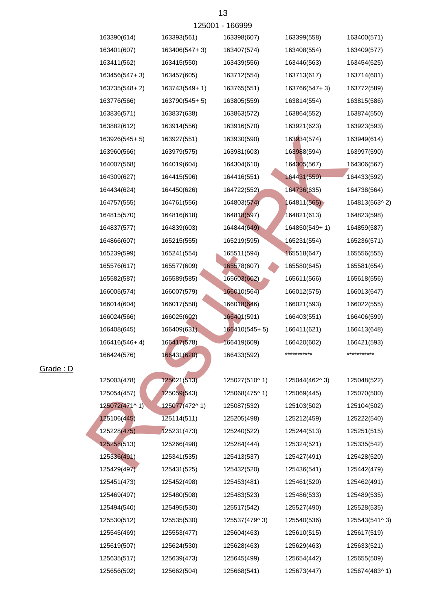|               | 1 <b>AUUU</b> | ៲ບບບບບ        |               |               |
|---------------|---------------|---------------|---------------|---------------|
| 163390(614)   | 163393(561)   | 163398(607)   | 163399(558)   | 163400(571)   |
| 163401(607)   | 163406(547+3) | 163407(574)   | 163408(554)   | 163409(577)   |
| 163411(562)   | 163415(550)   | 163439(556)   | 163446(563)   | 163454(625)   |
| 163456(547+3) | 163457(605)   | 163712(554)   | 163713(617)   | 163714(601)   |
| 163735(548+2) | 163743(549+1) | 163765(551)   | 163766(547+3) | 163772(589)   |
| 163776(566)   | 163790(545+5) | 163805(559)   | 163814(554)   | 163815(586)   |
| 163836(571)   | 163837(638)   | 163863(572)   | 163864(552)   | 163874(550)   |
| 163882(612)   | 163914(556)   | 163916(570)   | 163921(623)   | 163923(593)   |
| 163926(545+5) | 163927(551)   | 163930(590)   | 163934(574)   | 163949(614)   |
| 163960(566)   | 163979(575)   | 163981(603)   | 163988(594)   | 163997(590)   |
| 164007(568)   | 164019(604)   | 164304(610)   | 164305(567)   | 164306(567)   |
| 164309(627)   | 164415(596)   | 164416(551)   | 164431(559)   | 164433(592)   |
| 164434(624)   | 164450(626)   | 164722(552)   | 164736(635)   | 164738(564)   |
| 164757(555)   | 164761(556)   | 164803(574)   | 164811(565)   | 164813(563^2) |
| 164815(570)   | 164816(618)   | 164818(597)   | 164821(613)   | 164823(598)   |
| 164837(577)   | 164839(603)   | 164844(649)   | 164850(549+1) | 164859(587)   |
| 164866(607)   | 165215(555)   | 165219(595)   | 165231(554)   | 165236(571)   |
| 165239(599)   | 165241(554)   | 165511(594)   | 165518(647)   | 165556(555)   |
| 165576(617)   | 165577(609)   | 165578(607)   | 165580(645)   | 165581(654)   |
| 165582(587)   | 165589(585)   | 165603(602)   | 165611(566)   | 165618(556)   |
| 166005(574)   | 166007(579)   | 166010(564)   | 166012(575)   | 166013(647)   |
| 166014(604)   | 166017(558)   | 166018(646)   | 166021(593)   | 166022(555)   |
| 166024(566)   | 166025(602)   | 166401(591)   | 166403(551)   | 166406(599)   |
| 166408(645)   | 166409(631).  | 166410(545+5) | 166411(621)   | 166413(648)   |
| 166416(546+4) | 166417(578)   | 166419(609)   | 166420(602)   | 166421(593)   |
| 166424(576)   | 166431(620)   | 166433(592)   | ***********   | ***********   |
|               |               |               |               |               |
| 125003(478)   | 125021(513)   | 125027(510^1) | 125044(462^3) | 125048(522)   |
| 125054(457)   | 125059(543)   | 125068(475^1) | 125069(445)   | 125070(500)   |
| 125072(471^1) | 125077(472^1) | 125087(532)   | 125103(502)   | 125104(502)   |
| 125106(445)   | 125114(511)   | 125205(498)   | 125212(459)   | 125222(540)   |
| 125228(475)   | 125231(473)   | 125240(522)   | 125244(513)   | 125251(515)   |
| 125258(513)   | 125266(498)   | 125284(444)   | 125324(521)   | 125335(542)   |
| 125336(491)   | 125341(535)   | 125413(537)   | 125427(491)   | 125428(520)   |
| 125429(497)   | 125431(525)   | 125432(520)   | 125436(541)   | 125442(479)   |
| 125451(473)   | 125452(498)   | 125453(481)   | 125461(520)   | 125462(491)   |
| 125469(497)   | 125480(508)   | 125483(523)   | 125486(533)   | 125489(535)   |
| 125494(540)   | 125495(530)   | 125517(542)   | 125527(490)   | 125528(535)   |
| 125530(512)   | 125535(530)   | 125537(479^3) | 125540(536)   | 125543(541^3) |
| 125545(469)   | 125553(477)   | 125604(463)   | 125610(515)   | 125617(519)   |
| 125619(507)   | 125624(530)   | 125628(463)   | 125629(463)   | 125633(521)   |
| 125635(517)   | 125639(473)   | 125645(499)   | 125654(442)   | 125655(509)   |
| 125656(502)   | 125662(504)   | 125668(541)   | 125673(447)   | 125674(483^1) |

Grade : D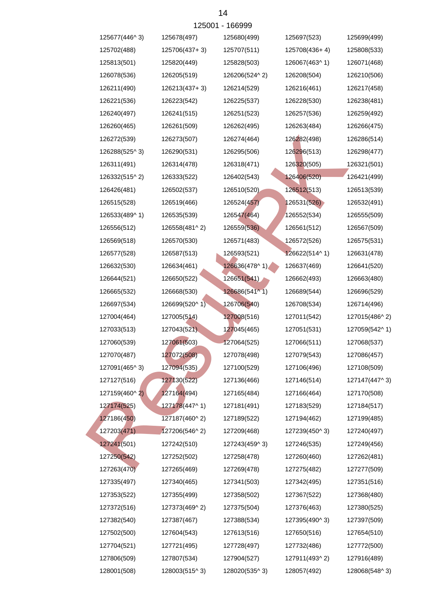|               |               | 125001 - 166999 |               |               |
|---------------|---------------|-----------------|---------------|---------------|
| 125677(446^3) | 125678(497)   | 125680(499)     | 125697(523)   | 125699(499)   |
| 125702(488)   | 125706(437+3) | 125707(511)     | 125708(436+4) | 125808(533)   |
| 125813(501)   | 125820(449)   | 125828(503)     | 126067(463^1) | 126071(468)   |
| 126078(536)   | 126205(519)   | 126206(524^2)   | 126208(504)   | 126210(506)   |
| 126211(490)   | 126213(437+3) | 126214(529)     | 126216(461)   | 126217(458)   |
| 126221(536)   | 126223(542)   | 126225(537)     | 126228(530)   | 126238(481)   |
| 126240(497)   | 126241(515)   | 126251(523)     | 126257(536)   | 126259(492)   |
| 126260(465)   | 126261(509)   | 126262(495)     | 126263(484)   | 126266(475)   |
| 126272(539)   | 126273(507)   | 126274(464)     | 126282(498)   | 126286(514)   |
| 126288(525^3) | 126290(531)   | 126295(506)     | 126296(513)   | 126298(477)   |
| 126311(491)   | 126314(478)   | 126318(471)     | 126320(505)   | 126321(501)   |
| 126332(515^2) | 126333(522)   | 126402(543)     | 126406(520)   | 126421(499)   |
| 126426(481)   | 126502(537)   | 126510(520)     | 126512(513)   | 126513(539)   |
| 126515(528)   | 126519(466)   | 126524(457)     | 126531(526)   | 126532(491)   |
| 126533(489^1) | 126535(539)   | 126547(464)     | 126552(534)   | 126555(509)   |
| 126556(512)   | 126558(481^2) | 126559(536)     | 126561(512)   | 126567(509)   |
| 126569(518)   | 126570(530)   | 126571(483)     | 126572(526)   | 126575(531)   |
| 126577(528)   | 126587(513)   | 126593(521)     | 126622(514^1) | 126631(478)   |
| 126632(530)   | 126634(461)   | 126636(478^1)   | 126637(469)   | 126641(520)   |
| 126644(521)   | 126650(522)   | 126651(541)     | 126662(493)   | 126663(480)   |
| 126665(532)   | 126668(530)   | 126686(541^1)   | 126689(544)   | 126696(529)   |
| 126697(534)   | 126699(520^1) | 126706(540)     | 126708(534)   | 126714(496)   |
| 127004(464)   | 127005(514)   | 127008(516)     | 127011(542)   | 127015(486^2) |
| 127033(513)   | 127043(521)   | 127045(465)     | 127051(531)   | 127059(542^1) |
| 127060(539)   | 127061(503)   | 127064(525)     | 127066(511)   | 127068(537)   |
| 127070(487)   | 127072(508)   | 127078(498)     | 127079(543)   | 127086(457)   |
| 127091(465^3) | 127094(535)   | 127100(529)     | 127106(496)   | 127108(509)   |
| 127127(516)   | 127130(522)   | 127136(466)     | 127146(514)   | 127147(447^3) |
| 127159(460^2) | 127164(494)   | 127165(484)     | 127166(464)   | 127170(508)   |
| 127174(525)   | 127178(447^1) | 127181(491)     | 127183(529)   | 127184(517)   |
| 127186(450)   | 127187(460^2) | 127189(522)     | 127194(462)   | 127199(485)   |
| 127203(471)   | 127206(546^2) | 127209(468)     | 127239(450^3) | 127240(497)   |
| 127241(501)   | 127242(510)   | 127243(459^3)   | 127246(535)   | 127249(456)   |
| 127250(542)   | 127252(502)   | 127258(478)     | 127260(460)   | 127262(481)   |
| 127263(470)   | 127265(469)   | 127269(478)     | 127275(482)   | 127277(509)   |
| 127335(497)   | 127340(465)   | 127341(503)     | 127342(495)   | 127351(516)   |
| 127353(522)   | 127355(499)   | 127358(502)     | 127367(522)   | 127368(480)   |
| 127372(516)   | 127373(469^2) | 127375(504)     | 127376(463)   | 127380(525)   |
| 127382(540)   | 127387(467)   | 127388(534)     | 127395(490^3) | 127397(509)   |
| 127502(500)   | 127604(543)   | 127613(516)     | 127650(516)   | 127654(510)   |
| 127704(521)   | 127721(495)   | 127728(497)     | 127732(486)   | 127772(500)   |
| 127806(509)   | 127807(534)   | 127904(527)     | 127911(493^2) | 127916(489)   |
| 128001(508)   | 128003(515^3) | 128020(535^3)   | 128057(492)   | 128068(548^3) |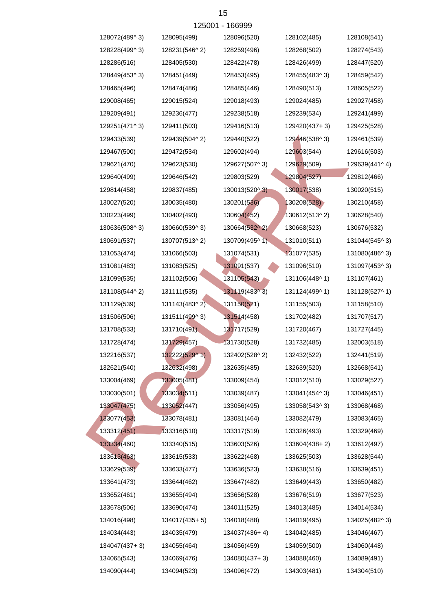|               |               | 125001 - 166999 |               |               |
|---------------|---------------|-----------------|---------------|---------------|
| 128072(489^3) | 128095(499)   | 128096(520)     | 128102(485)   | 128108(541)   |
| 128228(499^3) | 128231(546^2) | 128259(496)     | 128268(502)   | 128274(543)   |
| 128286(516)   | 128405(530)   | 128422(478)     | 128426(499)   | 128447(520)   |
| 128449(453^3) | 128451(449)   | 128453(495)     | 128455(483^3) | 128459(542)   |
| 128465(496)   | 128474(486)   | 128485(446)     | 128490(513)   | 128605(522)   |
| 129008(465)   | 129015(524)   | 129018(493)     | 129024(485)   | 129027(458)   |
| 129209(491)   | 129236(477)   | 129238(518)     | 129239(534)   | 129241(499)   |
| 129251(471^3) | 129411(503)   | 129416(513)     | 129420(437+3) | 129425(528)   |
| 129433(539)   | 129439(504^2) | 129440(522)     | 129446(538^3) | 129461(539)   |
| 129467(500)   | 129472(534)   | 129602(494)     | 129603(544)   | 129616(503)   |
| 129621(470)   | 129623(530)   | 129627(507^3)   | 129629(509)   | 129639(441^4) |
| 129640(499)   | 129646(542)   | 129803(529)     | 129804(527)   | 129812(466)   |
| 129814(458)   | 129837(485)   | 130013(520^3)   | 130017(538)   | 130020(515)   |
| 130027(520)   | 130035(480)   | 130201(536)     | 130208(528)   | 130210(458)   |
| 130223(499)   | 130402(493)   | 130604(452)     | 130612(513^2) | 130628(540)   |
| 130636(508^3) | 130660(539^3) | 130664(532^2)   | 130668(523)   | 130676(532)   |
| 130691(537)   | 130707(513^2) | 130709(495^1)   | 131010(511)   | 131044(545^3) |
| 131053(474)   | 131066(503)   | 131074(531)     | 131077(535)   | 131080(486^3) |
| 131081(483)   | 131083(525)   | 131091(537)     | 131096(510)   | 131097(453^3) |
| 131099(535)   | 131102(506)   | 131105(543)     | 131106(448^1) | 131107(461)   |
| 131108(544^2) | 131111(535)   | 131119(483^3)   | 131124(499^1) | 131128(527^1) |
| 131129(539)   | 131143(483^2) | 131150(521)     | 131155(503)   | 131158(510)   |
| 131506(506)   | 131511(499^3) | 131514(458)     | 131702(482)   | 131707(517)   |
| 131708(533)   | 131710(491)   | 131717(529)     | 131720(467)   | 131727(445)   |
| 131728(474)   | 131729(457)   | 131730(528)     | 131732(485)   | 132003(518)   |
| 132216(537)   | 132222(529^1) | 132402(528^2)   | 132432(522)   | 132441(519)   |
| 132621(540)   | 132632(498)   | 132635(485)     | 132639(520)   | 132668(541)   |
| 133004(469)   | 133005(481)   | 133009(454)     | 133012(510)   | 133029(527)   |
| 133030(501)   | 133034(511)   | 133039(487)     | 133041(454^3) | 133046(451)   |
| 133047(475)   | 133052(447)   | 133056(495)     | 133058(543^3) | 133068(468)   |
| 133077(453)   | 133078(481)   | 133081(464)     | 133082(479)   | 133083(465)   |
| 133312(451)   | 133316(510)   | 133317(519)     | 133326(493)   | 133329(469)   |
| 133334(460)   | 133340(515)   | 133603(526)     | 133604(438+2) | 133612(497)   |
| 133613(463)   | 133615(533)   | 133622(468)     | 133625(503)   | 133628(544)   |
| 133629(539)   | 133633(477)   | 133636(523)     | 133638(516)   | 133639(451)   |
| 133641(473)   | 133644(462)   | 133647(482)     | 133649(443)   | 133650(482)   |
| 133652(461)   | 133655(494)   | 133656(528)     | 133676(519)   | 133677(523)   |
| 133678(506)   | 133690(474)   | 134011(525)     | 134013(485)   | 134014(534)   |
| 134016(498)   | 134017(435+5) | 134018(488)     | 134019(495)   | 134025(482^3) |
| 134034(443)   | 134035(479)   | 134037(436+4)   | 134042(485)   | 134046(467)   |
| 134047(437+3) | 134055(464)   | 134056(459)     | 134059(500)   | 134060(448)   |
| 134065(543)   | 134069(476)   | 134080(437+3)   | 134088(460)   | 134089(491)   |
| 134090(444)   | 134094(523)   | 134096(472)     | 134303(481)   | 134304(510)   |
|               |               |                 |               |               |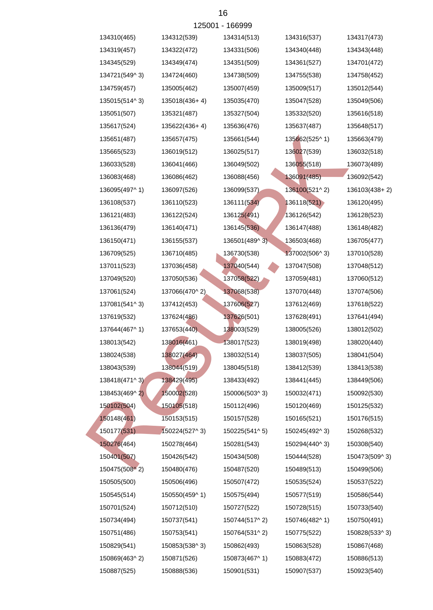|               |               | 125001 - 166999 |               |               |
|---------------|---------------|-----------------|---------------|---------------|
| 134310(465)   | 134312(539)   | 134314(513)     | 134316(537)   | 134317(473)   |
| 134319(457)   | 134322(472)   | 134331(506)     | 134340(448)   | 134343(448)   |
| 134345(529)   | 134349(474)   | 134351(509)     | 134361(527)   | 134701(472)   |
| 134721(549^3) | 134724(460)   | 134738(509)     | 134755(538)   | 134758(452)   |
| 134759(457)   | 135005(462)   | 135007(459)     | 135009(517)   | 135012(544)   |
| 135015(514^3) | 135018(436+4) | 135035(470)     | 135047(528)   | 135049(506)   |
| 135051(507)   | 135321(487)   | 135327(504)     | 135332(520)   | 135616(518)   |
| 135617(524)   | 135622(436+4) | 135636(476)     | 135637(487)   | 135648(517)   |
| 135651(487)   | 135657(475)   | 135661(544)     | 135662(525^1) | 135663(479)   |
| 135665(523)   | 136019(512)   | 136025(517)     | 136027(539)   | 136032(518)   |
| 136033(528)   | 136041(466)   | 136049(502)     | 136055(518)   | 136073(489)   |
| 136083(468)   | 136086(462)   | 136088(456)     | 136091(485)   | 136092(542)   |
| 136095(497^1) | 136097(526)   | 136099(537)     | 136100(521^2) | 136103(438+2) |
| 136108(537)   | 136110(523)   | 136111(534)     | 136118(521)   | 136120(495)   |
| 136121(483)   | 136122(524)   | 136125(491)     | 136126(542)   | 136128(523)   |
| 136136(479)   | 136140(471)   | 136145(536)     | 136147(488)   | 136148(482)   |
| 136150(471)   | 136155(537)   | 136501(489^3)   | 136503(468)   | 136705(477)   |
| 136709(525)   | 136710(485)   | 136730(538)     | 137002(506^3) | 137010(528)   |
| 137011(523)   | 137036(458)   | 137040(544)     | 137047(508)   | 137048(512)   |
| 137049(520)   | 137050(536)   | 137058(522)     | 137059(481)   | 137060(512)   |
| 137061(524)   | 137066(470^2) | 137068(538)     | 137070(448)   | 137074(506)   |
| 137081(541^3) | 137412(453)   | 137606(527)     | 137612(469)   | 137618(522)   |
| 137619(532)   | 137624(486)   | 137626(501)     | 137628(491)   | 137641(494)   |
| 137644(467^1) | 137653(440)   | 138003(529)     | 138005(526)   | 138012(502)   |
| 138013(542)   | 138016(461)   | 138017(523)     | 138019(498)   | 138020(440)   |
| 138024(538)   | 138027(464)   | 138032(514)     | 138037(505)   | 138041(504)   |
| 138043(539)   | 138044(519)   | 138045(518)     | 138412(539)   | 138413(538)   |
| 138418(471^3) | 138429(495)   | 138433(492)     | 138441(445)   | 138449(506)   |
| 138453(469^2) | 150002(528)   | 150006(503^3)   | 150032(471)   | 150092(530)   |
| 150102(504)   | 150105(518)   | 150112(496)     | 150120(469)   | 150125(532)   |
| 150148(461)   | 150153(515)   | 150157(528)     | 150165(521)   | 150176(515)   |
| 150177(531)   | 150224(527^3) | 150225(541^5)   | 150245(492^3) | 150268(532)   |
| 150276(464)   | 150278(464)   | 150281(543)     | 150294(440^3) | 150308(540)   |
| 150401(507)   | 150426(542)   | 150434(508)     | 150444(528)   | 150473(509^3) |
| 150475(508^2) | 150480(476)   | 150487(520)     | 150489(513)   | 150499(506)   |
| 150505(500)   | 150506(496)   | 150507(472)     | 150535(524)   | 150537(522)   |
| 150545(514)   | 150550(459^1) | 150575(494)     | 150577(519)   | 150586(544)   |
| 150701(524)   | 150712(510)   | 150727(522)     | 150728(515)   | 150733(540)   |
| 150734(494)   | 150737(541)   | 150744(517^2)   | 150746(482^1) | 150750(491)   |
| 150751(486)   | 150753(541)   | 150764(531^2)   | 150775(522)   | 150828(533^3) |
| 150829(541)   | 150853(538^3) | 150862(493)     | 150863(528)   | 150867(468)   |
| 150869(463^2) | 150871(526)   | 150873(467^1)   | 150883(472)   | 150886(513)   |
| 150887(525)   | 150888(536)   | 150901(531)     | 150907(537)   | 150923(540)   |
|               |               |                 |               |               |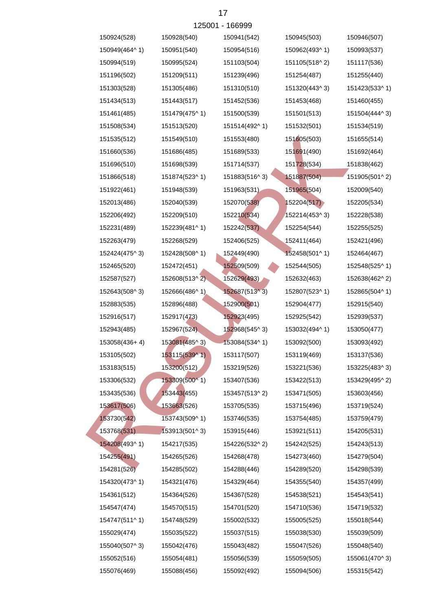|               |               | 125001 - 166999 |               |               |
|---------------|---------------|-----------------|---------------|---------------|
| 150924(528)   | 150928(540)   | 150941(542)     | 150945(503)   | 150946(507)   |
| 150949(464^1) | 150951(540)   | 150954(516)     | 150962(493^1) | 150993(537)   |
| 150994(519)   | 150995(524)   | 151103(504)     | 151105(518^2) | 151117(536)   |
| 151196(502)   | 151209(511)   | 151239(496)     | 151254(487)   | 151255(440)   |
| 151303(528)   | 151305(486)   | 151310(510)     | 151320(443^3) | 151423(533^1) |
| 151434(513)   | 151443(517)   | 151452(536)     | 151453(468)   | 151460(455)   |
| 151461(485)   | 151479(475^1) | 151500(539)     | 151501(513)   | 151504(444^3) |
| 151508(534)   | 151513(520)   | 151514(492^1)   | 151532(501)   | 151534(519)   |
| 151535(512)   | 151549(510)   | 151553(480)     | 151605(503)   | 151655(514)   |
| 151660(536)   | 151686(485)   | 151689(533)     | 151691(490)   | 151692(464)   |
| 151696(510)   | 151698(539)   | 151714(537)     | 151728(534)   | 151838(462)   |
| 151866(518)   | 151874(523^1) | 151883(516^3)   | 151887(504)   | 151905(501^2) |
| 151922(461)   | 151948(539)   | 151963(531)     | 151965(504)   | 152009(540)   |
| 152013(486)   | 152040(539)   | 152070(538)     | 152204(517)   | 152205(534)   |
| 152206(492)   | 152209(510)   | 152210(534)     | 152214(453^3) | 152228(538)   |
| 152231(489)   | 152239(481^1) | 152242(537)     | 152254(544)   | 152255(525)   |
| 152263(479)   | 152268(529)   | 152406(525)     | 152411(464)   | 152421(496)   |
| 152424(475^3) | 152428(508^1) | 152449(490)     | 152458(501^1) | 152464(467)   |
| 152465(520)   | 152472(451)   | 152509(509)     | 152544(505)   | 152548(525^1) |
| 152587(527)   | 152608(513^2) | 152629(493)     | 152632(463)   | 152638(462^2) |
| 152643(508^3) | 152666(486^1) | 152687(513^3)   | 152807(523^1) | 152865(504^1) |
| 152883(535)   | 152896(488)   | 152900(501)     | 152904(477)   | 152915(540)   |
| 152916(517)   | 152917(473)   | 152923(495)     | 152925(542)   | 152939(537)   |
| 152943(485)   | 152967(524)   | 152968(545^3)   | 153032(494^1) | 153050(477)   |
| 153058(436+4) | 153081(485^3) | 153084(534^1)   | 153092(500)   | 153093(492)   |
| 153105(502)   | 153115(539^1) | 153117(507)     | 153119(469)   | 153137(536)   |
| 153183(515)   | 153200(512)   | 153219(526)     | 153221(536)   | 153225(483^3) |
| 153306(532)   | 153309(500^1) | 153407(536)     | 153422(513)   | 153429(495^2) |
| 153435(536)   | 153443(455)   | 153457(513^2)   | 153471(505)   | 153603(456)   |
| 153617(506)   | 153663(526)   | 153705(535)     | 153715(496)   | 153719(524)   |
| 153730(542)   | 153743(509^1) | 153746(535)     | 153754(485)   | 153759(479)   |
| 153768(531)   | 153913(501^3) | 153915(446)     | 153921(511)   | 154205(531)   |
| 154208(493^1) | 154217(535)   | 154226(532^2)   | 154242(525)   | 154243(513)   |
| 154255(491)   | 154265(526)   | 154268(478)     | 154273(460)   | 154279(504)   |
| 154281(526)   | 154285(502)   | 154288(446)     | 154289(520)   | 154298(539)   |
| 154320(473^1) | 154321(476)   | 154329(464)     | 154355(540)   | 154357(499)   |
| 154361(512)   | 154364(526)   | 154367(528)     | 154538(521)   | 154543(541)   |
| 154547(474)   | 154570(515)   | 154701(520)     | 154710(536)   | 154719(532)   |
| 154747(511^1) | 154748(529)   | 155002(532)     | 155005(525)   | 155018(544)   |
| 155029(474)   | 155035(522)   | 155037(515)     | 155038(530)   | 155039(509)   |
| 155040(507^3) | 155042(476)   | 155043(482)     | 155047(526)   | 155048(540)   |
| 155052(516)   | 155054(481)   | 155056(539)     | 155059(505)   | 155061(470^3) |
| 155076(469)   | 155088(456)   | 155092(492)     | 155094(506)   | 155315(542)   |

 $17$  $166000$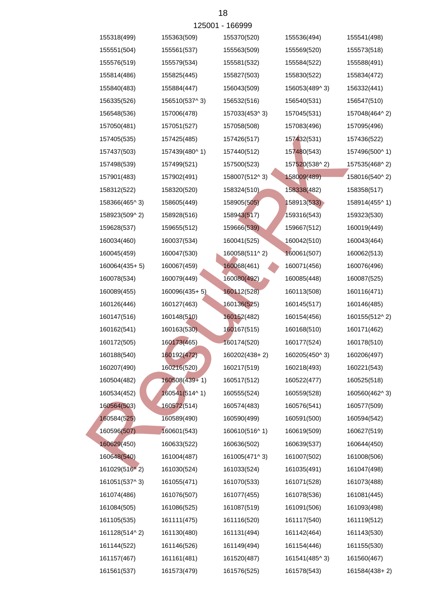|               |               | 125001 - 166999 |               |               |
|---------------|---------------|-----------------|---------------|---------------|
| 155318(499)   | 155363(509)   | 155370(520)     | 155536(494)   | 155541(498)   |
| 155551(504)   | 155561(537)   | 155563(509)     | 155569(520)   | 155573(518)   |
| 155576(519)   | 155579(534)   | 155581(532)     | 155584(522)   | 155588(491)   |
| 155814(486)   | 155825(445)   | 155827(503)     | 155830(522)   | 155834(472)   |
| 155840(483)   | 155884(447)   | 156043(509)     | 156053(489^3) | 156332(441)   |
| 156335(526)   | 156510(537^3) | 156532(516)     | 156540(531)   | 156547(510)   |
| 156548(536)   | 157006(478)   | 157033(453^3)   | 157045(531)   | 157048(464^2) |
| 157050(481)   | 157051(527)   | 157058(508)     | 157083(496)   | 157095(496)   |
| 157405(535)   | 157425(485)   | 157426(517)     | 157432(531)   | 157436(522)   |
| 157437(503)   | 157439(480^1) | 157440(512)     | 157480(543)   | 157496(500^1) |
| 157498(539)   | 157499(521)   | 157500(523)     | 157520(538^2) | 157535(468^2) |
| 157901(483)   | 157902(491)   | 158007(512^3)   | 158009(489)   | 158016(540^2) |
| 158312(522)   | 158320(520)   | 158324(510)     | 158338(482)   | 158358(517)   |
| 158366(465^3) | 158605(449)   | 158905(505)     | 158913(533)   | 158914(455^1) |
| 158923(509^2) | 158928(516)   | 158943(517)     | 159316(543)   | 159323(530)   |
| 159628(537)   | 159655(512)   | 159666(539)     | 159667(512)   | 160019(449)   |
| 160034(460)   | 160037(534)   | 160041(525)     | 160042(510)   | 160043(464)   |
| 160045(459)   | 160047(530)   | 160058(511^2)   | 160061(507)   | 160062(513)   |
| 160064(435+5) | 160067(459)   | 160068(461)     | 160071(456)   | 160076(496)   |
| 160078(534)   | 160079(449)   | 160080(492)     | 160085(448)   | 160087(525)   |
| 160089(455)   | 160096(435+5) | 160112(528)     | 160113(508)   | 160116(471)   |
| 160126(446)   | 160127(463)   | 160136(525)     | 160145(517)   | 160146(485)   |
| 160147(516)   | 160148(510)   | 160152(482)     | 160154(456)   | 160155(512^2) |
| 160162(541)   | 160163(530)   | 160167(515)     | 160168(510)   | 160171(462)   |
| 160172(505)   | 160173(465)   | 160174(520)     | 160177(524)   | 160178(510)   |
| 160188(540)   | 160192(472)   | 160202(438+2)   | 160205(450^3) | 160206(497)   |
| 160207(490)   | 160216(520)   | 160217(519)     | 160218(493)   | 160221(543)   |
| 160504(482)   | 160508(439+1) | 160517(512)     | 160522(477)   | 160525(518)   |
| 160534(452)   | 160541(514^1) | 160555(524)     | 160559(528)   | 160560(462^3) |
| 160564(503)   | 160572(514)   | 160574(483)     | 160576(541)   | 160577(509)   |
| 160584(525)   | 160589(490)   | 160590(499)     | 160591(500)   | 160594(542)   |
| 160596(507)   | 160601(543)   | 160610(516^1)   | 160619(509)   | 160627(519)   |
| 160629(450)   | 160633(522)   | 160636(502)     | 160639(537)   | 160644(450)   |
| 160648(540)   | 161004(487)   | 161005(471^3)   | 161007(502)   | 161008(506)   |
| 161029(516^2) | 161030(524)   | 161033(524)     | 161035(491)   | 161047(498)   |
| 161051(537^3) | 161055(471)   | 161070(533)     | 161071(528)   | 161073(488)   |
| 161074(486)   | 161076(507)   | 161077(455)     | 161078(536)   | 161081(445)   |
| 161084(505)   | 161086(525)   | 161087(519)     | 161091(506)   | 161093(498)   |
| 161105(535)   | 161111(475)   | 161116(520)     | 161117(540)   | 161119(512)   |
| 161128(514^2) | 161130(480)   | 161131(494)     | 161142(464)   | 161143(530)   |
| 161144(522)   | 161146(526)   | 161149(494)     | 161154(446)   | 161155(530)   |
| 161157(467)   | 161161(481)   | 161520(487)     | 161541(485^3) | 161560(467)   |
| 161561(537)   | 161573(479)   | 161576(525)     | 161578(543)   | 161584(438+2) |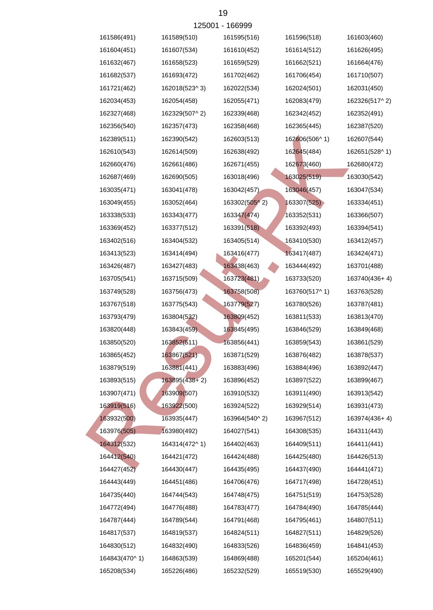|               |               | 120001 - 100999 |               |               |
|---------------|---------------|-----------------|---------------|---------------|
| 161586(491)   | 161589(510)   | 161595(516)     | 161596(518)   | 161603(460)   |
| 161604(451)   | 161607(534)   | 161610(452)     | 161614(512)   | 161626(495)   |
| 161632(467)   | 161658(523)   | 161659(529)     | 161662(521)   | 161664(476)   |
| 161682(537)   | 161693(472)   | 161702(462)     | 161706(454)   | 161710(507)   |
| 161721(462)   | 162018(523^3) | 162022(534)     | 162024(501)   | 162031(450)   |
| 162034(453)   | 162054(458)   | 162055(471)     | 162083(479)   | 162326(517^2) |
| 162327(468)   | 162329(507^2) | 162339(468)     | 162342(452)   | 162352(491)   |
| 162356(540)   | 162357(473)   | 162358(468)     | 162365(445)   | 162387(520)   |
| 162389(511)   | 162390(542)   | 162603(513)     | 162606(506^1) | 162607(544)   |
| 162610(543)   | 162614(509)   | 162638(492)     | 162645(484)   | 162651(528^1) |
| 162660(476)   | 162661(486)   | 162671(455)     | 162673(460)   | 162680(472)   |
| 162687(469)   | 162690(505)   | 163018(496)     | 163025(519)   | 163030(542)   |
| 163035(471)   | 163041(478)   | 163042(457)     | 163046(457)   | 163047(534)   |
| 163049(455)   | 163052(464)   | 163302(505^2)   | 163307(525)   | 163334(451)   |
| 163338(533)   | 163343(477)   | 163347(474)     | 163352(531)   | 163366(507)   |
| 163369(452)   | 163377(512)   | 163391(518)     | 163392(493)   | 163394(541)   |
| 163402(516)   | 163404(532)   | 163405(514)     | 163410(530)   | 163412(457)   |
| 163413(523)   | 163414(494)   | 163416(477)     | 163417(487)   | 163424(471)   |
| 163426(487)   | 163427(483)   | 163438(463)     | 163444(492)   | 163701(488)   |
| 163705(541)   | 163715(509)   | 163723(481)     | 163733(520)   | 163740(436+4) |
| 163749(528)   | 163756(473)   | 163758(508)     | 163760(517^1) | 163763(528)   |
| 163767(518)   | 163775(543)   | 163779(527)     | 163780(526)   | 163787(481)   |
| 163793(479)   | 163804(532)   | 163809(452)     | 163811(533)   | 163813(470)   |
| 163820(448)   | 163843(459)   | 163845(495)     | 163846(529)   | 163849(468)   |
| 163850(520)   | 163852(511)   | 163856(441)     | 163859(543)   | 163861(529)   |
| 163865(452)   | 163867(521)   | 163871(529)     | 163876(482)   | 163878(537)   |
| 163879(519)   | 163881(441)   | 163883(496)     | 163884(496)   | 163892(447)   |
| 163893(515)   | 163895(438+2) | 163896(452)     | 163897(522)   | 163899(467)   |
| 163907(471)   | 163909(507)   | 163910(532)     | 163911(490)   | 163913(542)   |
| 163919(516)   | 163922(500)   | 163924(522)     | 163929(514)   | 163931(473)   |
| 163932(500)   | 163935(447)   | 163964(540^2)   | 163967(512)   | 163974(436+4) |
| 163976(505)   | 163980(492)   | 164027(541)     | 164308(535)   | 164311(443)   |
| 164312(532)   | 164314(472^1) | 164402(463)     | 164409(511)   | 164411(441)   |
| 164412(540)   | 164421(472)   | 164424(488)     | 164425(480)   | 164426(513)   |
| 164427(452)   | 164430(447)   | 164435(495)     | 164437(490)   | 164441(471)   |
| 164443(449)   | 164451(486)   | 164706(476)     | 164717(498)   | 164728(451)   |
| 164735(440)   | 164744(543)   | 164748(475)     | 164751(519)   | 164753(528)   |
| 164772(494)   | 164776(488)   | 164783(477)     | 164784(490)   | 164785(444)   |
| 164787(444)   | 164789(544)   | 164791(468)     | 164795(461)   | 164807(511)   |
| 164817(537)   | 164819(537)   | 164824(511)     | 164827(511)   | 164829(526)   |
| 164830(512)   | 164832(490)   | 164833(526)     | 164836(459)   | 164841(453)   |
| 164843(470^1) | 164863(539)   | 164869(488)     | 165201(544)   | 165204(461)   |
| 165208(534)   | 165226(486)   | 165232(529)     | 165519(530)   | 165529(490)   |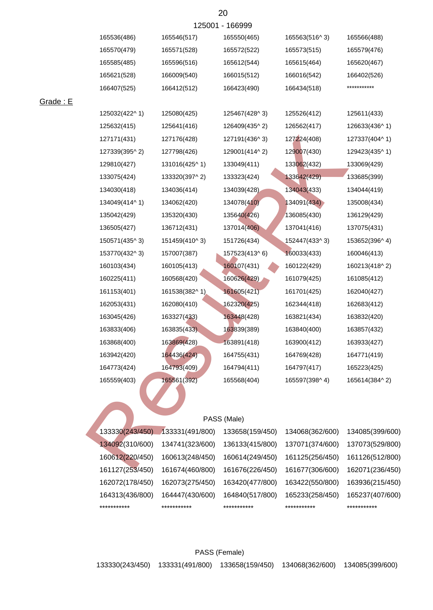|                 |                 | 125001 - 166999 |                 |               |
|-----------------|-----------------|-----------------|-----------------|---------------|
| 165536(486)     | 165546(517)     | 165550(465)     | 165563(516^3)   | 165566(488)   |
| 165570(479)     | 165571(528)     | 165572(522)     | 165573(515)     | 165579(476)   |
| 165585(485)     | 165596(516)     | 165612(544)     | 165615(464)     | 165620(467)   |
| 165621(528)     | 166009(540)     | 166015(512)     | 166016(542)     | 166402(526)   |
| 166407(525)     | 166412(512)     | 166423(490)     | 166434(518)     | ***********   |
| 125032(422^1)   | 125080(425)     | 125467(428^3)   | 125526(412)     | 125611(433)   |
| 125632(415)     | 125641(416)     | 126409(435^2)   | 126562(417)     | 126633(436^1) |
| 127171(431)     | 127176(428)     | 127191(436^3)   | 127224(408)     | 127337(404^1) |
| 127339(395^2)   | 127798(426)     | 129001(414^2)   | 129007(430)     | 129423(435^1) |
| 129810(427)     | 131016(425^1)   | 133049(411)     | 133062(432)     | 133069(429)   |
| 133075(424)     | 133320(397^2)   | 133323(424)     | 133642(429)     | 133685(399)   |
| 134030(418)     | 134036(414)     | 134039(428)     | 134043(433)     | 134044(419)   |
| 134049(414^1)   | 134062(420)     | 134078(410)     | 134091(434)     | 135008(434)   |
| 135042(429)     | 135320(430)     | 135640(426)     | 136085(430)     | 136129(429)   |
| 136505(427)     | 136712(431)     | 137014(406)     | 137041(416)     | 137075(431)   |
| 150571(435^3)   | 151459(410^3)   | 151726(434)     | 152447(433^3)   | 153652(396^4) |
| 153770(432^3)   | 157007(387)     | 157523(413^6)   | 160033(433)     | 160046(413)   |
| 160103(434)     | 160105(413)     | 160107(431)     | 160122(429)     | 160213(418^2) |
| 160225(411)     | 160568(420)     | 160626(429)     | 161079(425)     | 161085(412)   |
| 161153(401)     | 161538(382^1)   | 161605(421)     | 161701(425)     | 162040(427)   |
| 162053(431)     | 162080(410)     | 162320(425)     | 162344(418)     | 162683(412)   |
| 163045(426)     | 163327(433)     | 163448(428)     | 163821(434)     | 163832(420)   |
| 163833(406)     | 163835(433)     | 163839(389)     | 163840(400)     | 163857(432)   |
| 163868(400)     | 163869(428)     | 163891(418)     | 163900(412)     | 163933(427)   |
| 163942(420)     | 164436(424)     | 164755(431)     | 164769(428)     | 164771(419)   |
| 164773(424)     | 164793(409)     | 164794(411)     | 164797(417)     | 165223(425)   |
| 165559(403)     | 165561(392)     | 165568(404)     | 165597(398^4)   | 165614(384^2) |
|                 |                 |                 |                 |               |
|                 |                 | PASS (Male)     |                 |               |
| 133330(243/450) | 133331(491/800) | 133658(159/450) | 134068(362/600) | 134085(399/60 |
| 134092(310/600) | 134741(323/600) | 136133(415/800) | 137071(374/600) | 137073(529/80 |
| 160612(220/450) | 160613(248/450) | 160614(249/450) | 161125(256/450) | 161126(512/80 |
| 161127/252/450  | 46467A/A60/900  | 161676/226/450  | 161677/206/600  | 162071/226/16 |

## PASS (Male)

| ***********     | ***********     | ***********     | ***********     | ***********     |
|-----------------|-----------------|-----------------|-----------------|-----------------|
| 164313(436/800) | 164447(430/600) | 164840(517/800) | 165233(258/450) | 165237(407/600) |
| 162072(178/450) | 162073(275/450) | 163420(477/800) | 163422(550/800) | 163936(215/450) |
| 161127(253/450) | 161674(460/800) | 161676(226/450) | 161677(306/600) | 162071(236/450) |
| 160612(220/450) | 160613(248/450) | 160614(249/450) | 161125(256/450) | 161126(512/800) |
| 134092(310/600) | 134741(323/600) | 136133(415/800) | 137071(374/600) | 137073(529/800) |
| 133330(243/450) | 133331(491/800) | 133658(159/450) | 134068(362/600) | 134085(399/600) |

## PASS (Female)

Grade : E